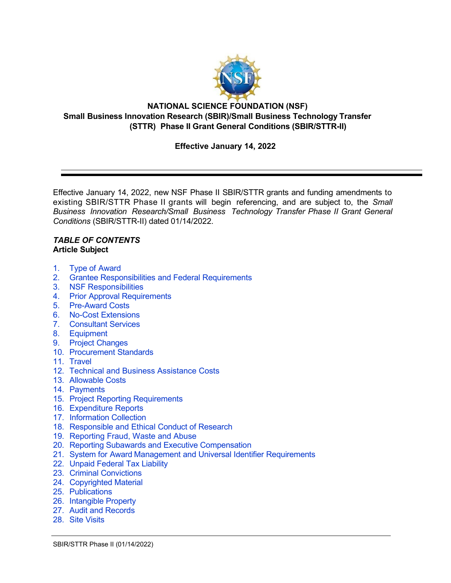

### **NATIONAL SCIENCE FOUNDATION (NSF) Small Business Innovation Research (SBIR)/Small Business Technology Transfer (STTR) Phase II Grant General Conditions (SBIR/STTR-II)**

## **Effective January 14, 2022**

Effective January 14, 2022, new NSF Phase II SBIR/STTR grants and funding amendments to existing SBIR/STTR Phase II grants will begin referencing, and are subject to, the *Small Business Innovation Research/Small Business Technology Transfer Phase II Grant General Conditions* (SBIR/STTR-II) dated 01/14/2022.

#### *TABLE OF CONTENTS* **Article Subject**

- 1. Type of [Award](#page-1-0)
- 2. [Grantee Responsibilities](#page-1-1) and Federal Requirements
- 3. [NSF Responsibilities](#page-2-0)
- 4. Prior Approval [Requirements](#page-3-0)
- 5. [Pre-Award](#page-3-1) Costs
- 6. No-Cost [Extensions](#page-4-0)
- 7. [Consultant](#page-4-1) Services
- 8. [Equipment](#page-4-2)
- 9. Project [Changes](#page-5-0)
- 10. [Procurement](#page-7-0) Standards
- 11. [Travel](#page-7-1)
- 12. [Technical and Business Assistance Costs](#page-7-2)
- 13. [Allowable Costs](#page-8-0)
- 14. [Payments](#page-8-1)
- 15. Project Reporting [Requirements](#page-9-0)
- 16. [Expenditure Reports](#page-11-0)
- 17. [Information Collection](#page-11-1)
- 18. Responsible [and Ethical Conduct of](#page-12-0) Research
- 19. [Reporting Fraud, Waste and Abuse](#page-12-1)
- 20. Reporting Subawards [and Executive Compensation](#page-13-0)
- 21. System for Award Management and Universal Identifier [Requirements](#page-16-0)
- 22. [Unpaid Federal](#page-17-0) Tax Liability
- 23. Criminal [Convictions](#page-17-1)
- 24. [Copyrighted Material](#page-17-2)
- 25. [Publications](#page-18-0)
- 26. [Intangible Property](#page-19-0)
- 27. Audit [and Records](#page-25-0)
- 28. Site [Visits](#page-25-1)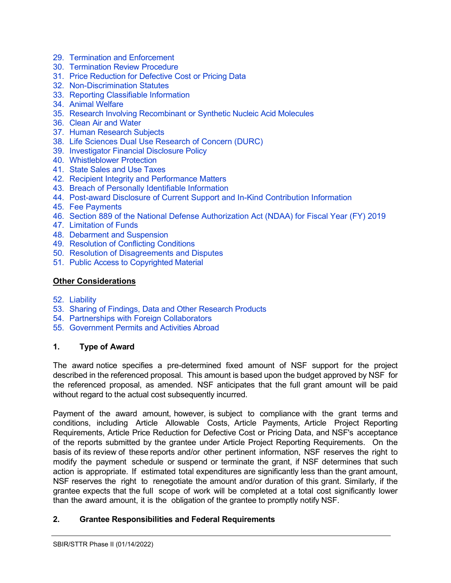- 29. [Termination and Enforcement](#page-25-2)
- 30. [Termination Review](#page-26-0) Procedure
- 31. Price [Reduction](#page-26-1) for Defective Cost or Pricing Data
- 32. [Non-Discrimination Statutes](#page-28-0)
- 33. [Reporting Classifiable Information](#page-28-1)
- 34. Animal [Welfare](#page-28-2)
- 35. [Research Involving Recombinant](#page-29-0) or Synthetic Nucleic Acid Molecules
- 36. Clean Air [and Water](#page-29-1)
- 37. Human [Research](#page-29-2) Subjects
- 38. [Life Sciences Dual Use Research of Concern \(DURC\)](#page-30-0)
- 39. [Investigator](#page-30-1) Financial Disclosure Policy
- 40. [Whistleblower](#page-30-2) Protection
- 41. [State Sales and Use Taxes](#page-30-3)
- 42. [Recipient Integrity](#page-30-4) and Performance Matters
- 43. [Breach of Personally Identifiable Information](#page-30-5)
- 44. [Post-award Disclosure of Current Support and In-Kind Contribution Information](#page-31-0)
- 45. [Fee Payments](#page-32-0)
- 46. [Section 889 of the National Defense Authorization Act \(NDAA\) for Fiscal Year \(FY\) 2019](#page-32-1)
- 47. [Limitation of Funds](#page-33-0)
- 48. Debarment [and Suspension](#page-33-1)
- 49. [Resolution of](#page-33-2) Conflicting Conditions
- 50. [Resolution of Disagreements and Disputes](#page-34-0)
- 51. Public Access to [Copyrighted](#page-34-1) Material

### **Other Considerations**

- 52. [Liability](#page-34-2)
- 53. Sharing of Findings, Data and Other [Research](#page-34-3) Products
- 54. [Partnerships with Foreign Collaborators](#page-35-0)
- 55. Government [Permits and Activities Abroad](#page-35-1)

## <span id="page-1-0"></span>**1. Type of Award**

The award notice specifies a pre-determined fixed amount of NSF support for the project described in the referenced proposal. This amount is based upon the budget approved by NSF for the referenced proposal, as amended. NSF anticipates that the full grant amount will be paid without regard to the actual cost subsequently incurred.

Payment of the award amount, however, is subject to compliance with the grant terms and conditions, including Article Allowable Costs, Article Payments, Article Project Reporting Requirements, Article Price Reduction for Defective Cost or Pricing Data, and NSF's acceptance of the reports submitted by the grantee under Article Project Reporting Requirements. On the basis of its review of these reports and/or other pertinent information, NSF reserves the right to modify the payment schedule or suspend or terminate the grant, if NSF determines that such action is appropriate. If estimated total expenditures are significantly less than the grant amount, NSF reserves the right to renegotiate the amount and/or duration of this grant. Similarly, if the grantee expects that the full scope of work will be completed at a total cost significantly lower than the award amount, it is the obligation of the grantee to promptly notify NSF.

## <span id="page-1-1"></span>**2. Grantee Responsibilities and Federal Requirements**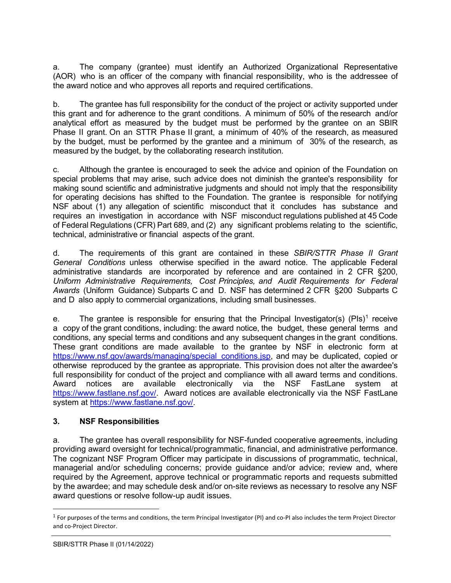a. The company (grantee) must identify an Authorized Organizational Representative (AOR) who is an officer of the company with financial responsibility, who is the addressee of the award notice and who approves all reports and required certifications.

b. The grantee has full responsibility for the conduct of the project or activity supported under this grant and for adherence to the grant conditions. A minimum of 50% of the research and/or analytical effort as measured by the budget must be performed by the grantee on an SBIR Phase II grant. On an STTR Phase II grant, a minimum of 40% of the research, as measured by the budget, must be performed by the grantee and a minimum of 30% of the research, as measured by the budget, by the collaborating research institution.

c. Although the grantee is encouraged to seek the advice and opinion of the Foundation on special problems that may arise, such advice does not diminish the grantee's responsibility for making sound scientific and administrative judgments and should not imply that the responsibility for operating decisions has shifted to the Foundation. The grantee is responsible for notifying NSF about (1) any allegation of scientific misconduct that it concludes has substance and requires an investigation in accordance with NSF misconduct regulations published at 45 Code of Federal Regulations (CFR) Part 689, and (2) any significant problems relating to the scientific, technical, administrative or financial aspects of the grant.

d. The requirements of this grant are contained in these *SBIR/STTR Phase II Grant General Conditions* unless otherwise specified in the award notice. The applicable Federal administrative standards are incorporated by reference and are contained in 2 CFR [§200,](http://www.ecfr.gov/cgi-bin/text-idx?SID=704835d27377ef5213a51c149de40cab&amp%3Bnode=2%3A1.1.2.2.1&amp%3Brgn=div5) *Uniform Administrative Requirements, Cost Principles, and Audit Requirements for Federal Awards* (Uniform Guidance) Subparts C and D. NSF has determined 2 CFR §200 Subparts C and D also apply to commercial organizations, including small businesses.

e. The grantee is responsible for ensuring that the Principal Investigator(s) (PIs)<sup>1</sup> receive a copy of the grant conditions, including: the award notice, the budget, these general terms and conditions, any special terms and conditions and any subsequent changes in the grant conditions. These grant conditions are made available to the grantee by NSF in electronic form at [https://www.nsf.gov/awards/managing/special\\_conditions.jsp,](https://www.nsf.gov/awards/managing/special_conditions.jsp) and may be duplicated, copied or otherwise reproduced by the grantee as appropriate. This provision does not alter the awardee's full responsibility for conduct of the project and compliance with all award terms and conditions. Award notices are available electronically via the NSF FastLane system at [https://www.fastlane.nsf.gov/.](https://www.fastlane.nsf.gov/) Award notices are available electronically via the NSF FastLane system at [https://www.fastlane.nsf.gov/.](https://www.fastlane.nsf.gov/)

## <span id="page-2-0"></span>**3. NSF Responsibilities**

a. The grantee has overall responsibility for NSF-funded cooperative agreements, including providing award oversight for technical/programmatic, financial, and administrative performance. The cognizant NSF Program Officer may participate in discussions of programmatic, technical, managerial and/or scheduling concerns; provide guidance and/or advice; review and, where required by the Agreement, approve technical or programmatic reports and requests submitted by the awardee; and may schedule desk and/or on-site reviews as necessary to resolve any NSF award questions or resolve follow-up audit issues.

<span id="page-2-1"></span> $1$  For purposes of the terms and conditions, the term Principal Investigator (PI) and co-PI also includes the term Project Director and co-Project Director.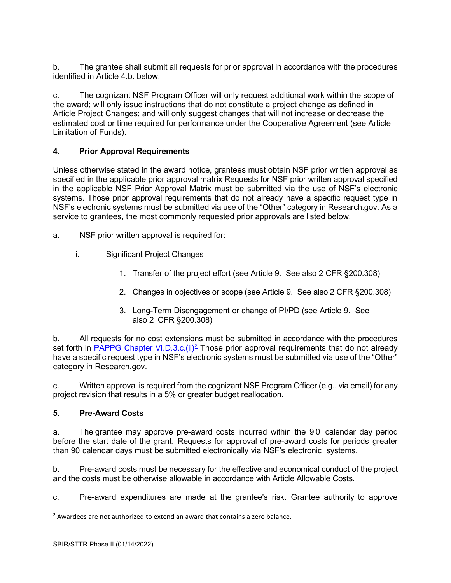b. The grantee shall submit all requests for prior approval in accordance with the procedures identified in Article 4.b. below.

c. The cognizant NSF Program Officer will only request additional work within the scope of the award; will only issue instructions that do not constitute a project change as defined in Article Project Changes; and will only suggest changes that will not increase or decrease the estimated cost or time required for performance under the Cooperative Agreement (see Article Limitation of Funds).

## <span id="page-3-0"></span>**4. Prior Approval Requirements**

Unless otherwise stated in the award notice, grantees must obtain NSF prior written approval as specified in the applicable prior approval matrix Requests for NSF prior written approval specified in the applicable NSF Prior Approval Matrix must be submitted via the use of NSF's electronic systems. Those prior approval requirements that do not already have a specific request type in NSF's electronic systems must be submitted via use of the "Other" category in Research.gov. As a service to grantees, the most commonly requested prior approvals are listed below.

- a. NSF prior written approval is required for:
	- i. Significant Project Changes
		- 1. Transfer of the project effort (see Article 9. See also 2 CFR §200.308)
		- 2. Changes in objectives or scope (see Article 9. See also 2 CFR §200.308)
		- 3. Long-Term Disengagement or change of PI/PD (see Article 9. See also 2 CFR §200.308)

b. All requests for no cost extensions must be submitted in accordance with the procedures set forth in PAPPG Chapter VI.D.3.c.(ii)<sup>2</sup> Those prior approval requirements that do not already have a specific request type in NSF's electronic systems must be submitted via use of the "Other" category in Research.gov.

c. Written approval is required from the cognizant NSF Program Officer (e.g., via email) for any project revision that results in a 5% or greater budget reallocation.

### <span id="page-3-1"></span>**5. Pre-Award Costs**

a. The grantee may approve pre-award costs incurred within the 90 calendar day period before the start date of the grant. Requests for approval of pre-award costs for periods greater than 90 calendar days must be submitted electronically via NSF's electronic systems.

b. Pre-award costs must be necessary for the effective and economical conduct of the project and the costs must be otherwise allowable in accordance with Article Allowable Costs.

c. Pre-award expenditures are made at the grantee's risk. Grantee authority to approve

<span id="page-3-2"></span> $<sup>2</sup>$  Awardees are not authorized to extend an award that contains a zero balance.</sup>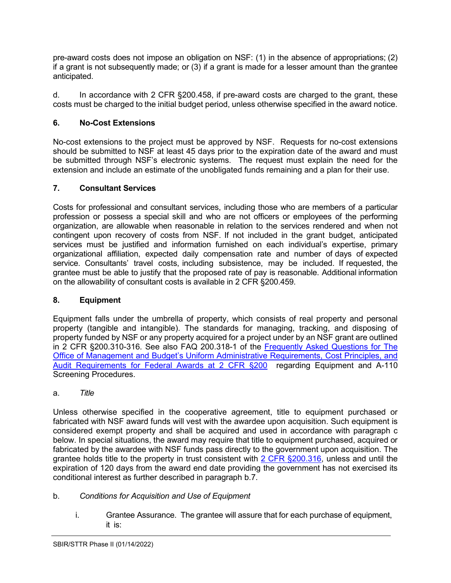pre-award costs does not impose an obligation on NSF: (1) in the absence of appropriations; (2) if a grant is not subsequently made; or (3) if a grant is made for a lesser amount than the grantee anticipated.

d. In accordance with 2 CFR §200.458, if pre-award costs are charged to the grant, these costs must be charged to the initial budget period, unless otherwise specified in the award notice.

# <span id="page-4-0"></span>**6. No-Cost Extensions**

No-cost extensions to the project must be approved by NSF. Requests for no-cost extensions should be submitted to NSF at least 45 days prior to the expiration date of the award and must be submitted through NSF's electronic systems. The request must explain the need for the extension and include an estimate of the unobligated funds remaining and a plan for their use.

# <span id="page-4-1"></span>**7. Consultant Services**

Costs for professional and consultant services, including those who are members of a particular profession or possess a special skill and who are not officers or employees of the performing organization, are allowable when reasonable in relation to the services rendered and when not contingent upon recovery of costs from NSF. If not included in the grant budget, anticipated services must be justified and information furnished on each individual's expertise, primary organizational affiliation, expected daily compensation rate and number of days of expected service. Consultants' travel costs, including subsistence, may be included. If requested, the grantee must be able to justify that the proposed rate of pay is reasonable. Additional information on the allowability of consultant costs is available in 2 CFR §200.459.

## <span id="page-4-2"></span>**8. Equipment**

Equipment falls under the umbrella of property, which consists of real property and personal property (tangible and intangible). The standards for managing, tracking, and disposing of property funded by NSF or any property acquired for a project under by an NSF grant are outlined in 2 CFR §200.310-316. See also FAQ 200.318-1 of the [Frequently Asked Questions for The](https://www.cfo.gov/assets/files/2CFR-FrequentlyAskedQuestions_2021050321.pdf)  [Office of Management and Budget's Uniform Administrative Requirements, Cost Principles, and](https://www.cfo.gov/assets/files/2CFR-FrequentlyAskedQuestions_2021050321.pdf)  [Audit Requirements for Federal Awards at 2 CFR §200](https://www.cfo.gov/assets/files/2CFR-FrequentlyAskedQuestions_2021050321.pdf) regarding Equipment and A-110 Screening Procedures.

## a. *Title*

Unless otherwise specified in the cooperative agreement, title to equipment purchased or fabricated with NSF award funds will vest with the awardee upon acquisition. Such equipment is considered exempt property and shall be acquired and used in accordance with paragraph c below. In special situations, the award may require that title to equipment purchased, acquired or fabricated by the awardee with NSF funds pass directly to the government upon acquisition. The grantee holds title to the property in trust consistent with [2 CFR §200.316,](http://a257.g.akamaitech.net/7/257/2422/15mar20071500/edocket.access.gpo.gov/cfr_2007/janqtr/pdf/2cfr215.34.pdf) unless and until the expiration of 120 days from the award end date providing the government has not exercised its conditional interest as further described in paragraph b.7.

- b. *Conditions for Acquisition and Use of Equipment*
	- i. Grantee Assurance. The grantee will assure that for each purchase of equipment, it is: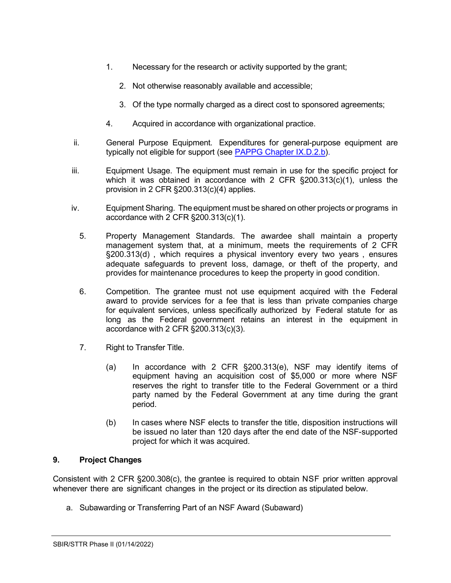- 1. Necessary for the research or activity supported by the grant;
	- 2. Not otherwise reasonably available and accessible;
	- 3. Of the type normally charged as a direct cost to sponsored agreements;
- 4. Acquired in accordance with organizational practice.
- ii. General Purpose Equipment. Expenditures for general-purpose equipment are typically not eligible for support (see [PAPPG Chapter IX.D.2.b\).](https://www.nsf.gov/pubs/policydocs/pappg22_1/pappg_9.jsp#IXD2)
- iii. Equipment Usage. The equipment must remain in use for the specific project for which it was obtained in accordance with 2 CFR  $\S200.313(c)(1)$ , unless the provision in 2 CFR §200.313(c)(4) applies.
- iv. Equipment Sharing. The equipment must be shared on other projects or programs in accordance with 2 CFR §200.313(c)(1).
	- 5. Property Management Standards. The awardee shall maintain a property management system that, at a minimum, meets the requirements of 2 CFR §200.313(d) , which requires a physical inventory every two years , ensures adequate safeguards to prevent loss, damage, or theft of the property, and provides for maintenance procedures to keep the property in good condition.
	- 6. Competition. The grantee must not use equipment acquired with the Federal award to provide services for a fee that is less than private companies charge for equivalent services, unless specifically authorized by Federal statute for as long as the Federal government retains an interest in the equipment in accordance with 2 CFR §200.313(c)(3).
	- 7. Right to Transfer Title.
		- (a) In accordance with 2 CFR §200.313(e), NSF may identify items of equipment having an acquisition cost of \$5,000 or more where NSF reserves the right to transfer title to the Federal Government or a third party named by the Federal Government at any time during the grant period.
		- (b) In cases where NSF elects to transfer the title, disposition instructions will be issued no later than 120 days after the end date of the NSF-supported project for which it was acquired.

### <span id="page-5-0"></span>**9. Project Changes**

Consistent with 2 CFR §200.308(c), the grantee is required to obtain NSF prior written approval whenever there are significant changes in the project or its direction as stipulated below.

a. Subawarding or Transferring Part of an NSF Award (Subaward)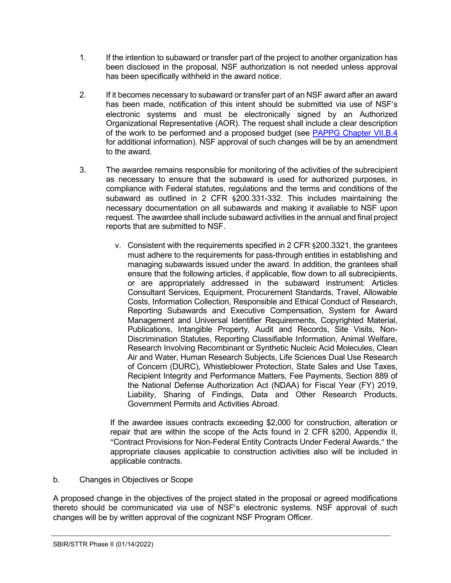- 1. If the intention to subaward or transfer part of the project to another organization has been disclosed in the proposal, NSF authorization is not needed unless approval has been specifically withheld in the award notice.
- 2. If it becomes necessary to subaward or transfer part of an NSF award after an award has been made, notification of this intent should be submitted via use of NSF's electronic systems and must be electronically signed by an Authorized Organizational Representative (AOR). The request shall include a clear description of the work to be performed and a proposed budget (see [PAPPG Chapter VII.B.4](https://www.nsf.gov/pubs/policydocs/pappg22_1/pappg_7.jsp#VIIB4) for additional information). NSF approval of such changes will be by an amendment to the award.
- 3. The awardee remains responsible for monitoring of the activities of the subrecipient as necessary to ensure that the subaward is used for authorized purposes, in compliance with Federal statutes, regulations and the terms and conditions of the subaward as outlined in 2 CFR §200.331-332. This includes maintaining the necessary documentation on all subawards and making it available to NSF upon request. The awardee shall include subaward activities in the annual and final project reports that are submitted to NSF.
	- v. Consistent with the requirements specified in 2 CFR §200.3321, the grantees must adhere to the requirements for pass-through entities in establishing and managing subawards issued under the award. In addition, the grantees shall ensure that the following articles, if applicable, flow down to all subrecipients, or are appropriately addressed in the subaward instrument: Articles Consultant Services, Equipment, Procurement Standards, Travel, Allowable Costs, Information Collection, Responsible and Ethical Conduct of Research, Reporting Subawards and Executive Compensation, System for Award Management and Universal Identifier Requirements, Copyrighted Material, Publications, Intangible Property, Audit and Records, Site Visits, Non-Discrimination Statutes, Reporting Classifiable Information, Animal Welfare, Research Involving Recombinant or Synthetic Nucleic Acid Molecules, Clean Air and Water, Human Research Subjects, Life Sciences Dual Use Research of Concern (DURC), Whistleblower Protection, State Sales and Use Taxes, Recipient Integrity and Performance Matters, Fee Payments, Section 889 of the National Defense Authorization Act (NDAA) for Fiscal Year (FY) 2019, Liability, Sharing of Findings, Data and Other Research Products, Government Permits and Activities Abroad.

If the awardee issues contracts exceeding \$2,000 for construction, alteration or repair that are within the scope of the Acts found in 2 CFR §200, Appendix II, "Contract Provisions for Non-Federal Entity Contracts Under Federal Awards," the appropriate clauses applicable to construction activities also will be included in applicable contracts.

b. Changes in Objectives or Scope

A proposed change in the objectives of the project stated in the proposal or agreed modifications thereto should be communicated via use of NSF's electronic systems. NSF approval of such changes will be by written approval of the cognizant NSF Program Officer.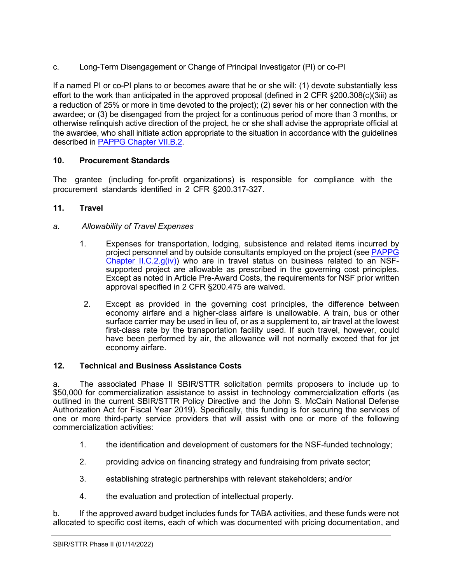c. Long-Term Disengagement or Change of Principal Investigator (PI) or co-PI

If a named PI or co-PI plans to or becomes aware that he or she will: (1) devote substantially less effort to the work than anticipated in the approved proposal (defined in 2 CFR §200.308(c)(3iii) as a reduction of 25% or more in time devoted to the project); (2) sever his or her connection with the awardee; or (3) be disengaged from the project for a continuous period of more than 3 months, or otherwise relinquish active direction of the project, he or she shall advise the appropriate official at the awardee, who shall initiate action appropriate to the situation in accordance with the guidelines described in **PAPPG Chapter VII.B.2**.

# <span id="page-7-0"></span>**10. Procurement Standards**

The grantee (including for-profit organizations) is responsible for compliance with the procurement standards identified in 2 CFR [§200.31](http://www.access.gpo.gov/nara/cfr/waisidx_07/2cfr215_07.html)7-327.

# <span id="page-7-1"></span>**11. Travel**

# *a. Allowability of Travel Expenses*

- 1. Expenses for transportation, lodging, subsistence and related items incurred by project personnel and by outside consultants employed on the project (see [PAPPG](https://www.nsf.gov/pubs/policydocs/pappg22_1/pappg_2.jsp#IIC2giv)  Chapter II.C.2. $g(iv)$  who are in travel status on business related to an NSFsupported project are allowable as prescribed in the governing cost principles. Except as noted in Article Pre-Award Costs, the requirements for NSF prior written approval specified in 2 CFR §200.475 are waived.
- 2. Except as provided in the governing cost principles, the difference between economy airfare and a higher-class airfare is unallowable. A train, bus or other surface carrier may be used in lieu of, or as a supplement to, air travel at the lowest first-class rate by the transportation facility used. If such travel, however, could have been performed by air, the allowance will not normally exceed that for jet economy airfare.

## <span id="page-7-2"></span>**12. Technical and Business Assistance Costs**

a. The associated Phase II SBIR/STTR solicitation permits proposers to include up to \$50,000 for commercialization assistance to assist in technology commercialization efforts (as outlined in the current SBIR/STTR Policy Directive and the John S. McCain National Defense Authorization Act for Fiscal Year 2019). Specifically, this funding is for securing the services of one or more third-party service providers that will assist with one or more of the following commercialization activities:

- 1. the identification and development of customers for the NSF-funded technology;
- 2. providing advice on financing strategy and fundraising from private sector;
- 3. establishing strategic partnerships with relevant stakeholders; and/or
- 4. the evaluation and protection of intellectual property.

b. If the approved award budget includes funds for TABA activities, and these funds were not allocated to specific cost items, each of which was documented with pricing documentation, and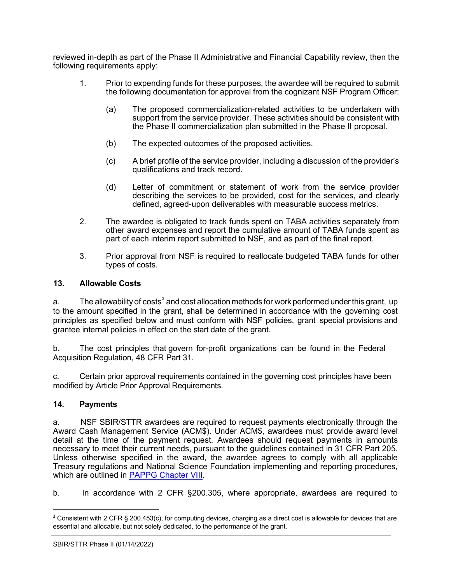reviewed in-depth as part of the Phase II Administrative and Financial Capability review, then the following requirements apply:

- 1. Prior to expending funds for these purposes, the awardee will be required to submit the following documentation for approval from the cognizant NSF Program Officer:
	- (a) The proposed commercialization-related activities to be undertaken with support from the service provider. These activities should be consistent with the Phase II commercialization plan submitted in the Phase II proposal.
	- (b) The expected outcomes of the proposed activities.
	- (c) A brief profile of the service provider, including a discussion of the provider's qualifications and track record.
	- (d) Letter of commitment or statement of work from the service provider describing the services to be provided, cost for the services, and clearly defined, agreed-upon deliverables with measurable success metrics.
- 2. The awardee is obligated to track funds spent on TABA activities separately from other award expenses and report the cumulative amount of TABA funds spent as part of each interim report submitted to NSF, and as part of the final report.
- 3. Prior approval from NSF is required to reallocate budgeted TABA funds for other types of costs.

### <span id="page-8-0"></span>**13. Allowable Costs**

a.  $\hskip1cm$  The allowability of costs $^{\textdegree}$  and cost allocation methods for work performed under this grant, <code>up</code> to the amount specified in the grant, shall be determined in accordance with the governing cost principles as specified below and must conform with NSF policies, grant special provisions and grantee internal policies in effect on the start date of the grant.

b. The cost principles that govern for-profit organizations can be found in the Federal Acquisition Regulation, 48 CFR Part 31.

c. Certain prior approval requirements contained in the governing cost principles have been modified by Article Prior Approval Requirements.

### <span id="page-8-1"></span>**14. Payments**

a. NSF SBIR/STTR awardees are required to request payments electronically through the Award Cash Management Service (ACM\$). Under ACM\$, awardees must provide award level detail at the time of the payment request. Awardees should request payments in amounts necessary to meet their current needs, pursuant to the guidelines contained in 31 CFR Part 205. Unless otherwise specified in the award, the awardee agrees to comply with all applicable Treasury regulations and National Science Foundation implementing and reporting procedures, which are outlined in [PAPPG Chapter VIII.](https://www.nsf.gov/pubs/policydocs/pappg22_1/pappg_8.jsp)

b. In accordance with 2 CFR §200.305, where appropriate, awardees are required to

<span id="page-8-2"></span><sup>&</sup>lt;sup>3</sup> Consistent with 2 CFR § 200.453(c), for computing devices, charging as a direct cost is allowable for devices that are essential and allocable, but not solely dedicated, to the performance of the grant.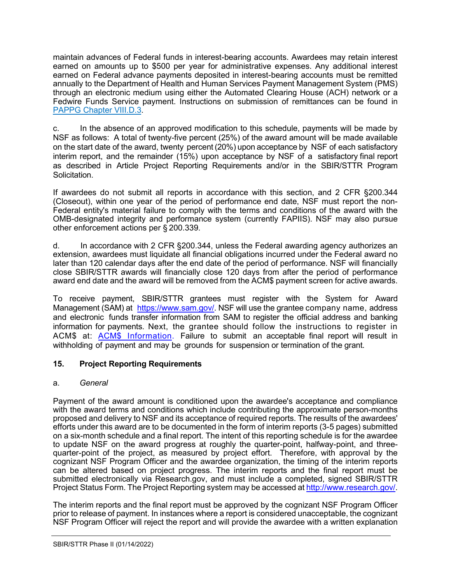maintain advances of Federal funds in interest-bearing accounts. Awardees may retain interest earned on amounts up to \$500 per year for administrative expenses. Any additional interest earned on Federal advance payments deposited in interest-bearing accounts must be remitted annually to the Department of Health and Human Services Payment Management System (PMS) through an electronic medium using either the Automated Clearing House (ACH) network or a Fedwire Funds Service payment. Instructions on submission of remittances can be found in [PAPPG Chapter VIII.D.3.](https://www.nsf.gov/pubs/policydocs/pappg22_1/pappg_8.jsp#VIIID3)

c. In the absence of an approved modification to this schedule, payments will be made by NSF as follows: A total of twenty-five percent (25%) of the award amount will be made available on the start date of the award, twenty percent (20%) upon acceptance by NSF of each satisfactory interim report, and the remainder (15%) upon acceptance by NSF of a satisfactory final report as described in Article Project Reporting Requirements and/or in the SBIR/STTR Program Solicitation.

If awardees do not submit all reports in accordance with this section, and 2 CFR §200.344 (Closeout), within one year of the period of performance end date, NSF must report the non-Federal entity's material failure to comply with the terms and conditions of the award with the OMB-designated integrity and performance system (currently FAPIIS). NSF may also pursue other enforcement actions per § 200.339.

d. In accordance with 2 CFR §200.344, unless the Federal awarding agency authorizes an extension, awardees must liquidate all financial obligations incurred under the Federal award no later than 120 calendar days after the end date of the period of performance. NSF will financially close SBIR/STTR awards will financially close 120 days from after the period of performance award end date and the award will be removed from the ACM\$ payment screen for active awards.

To receive payment, SBIR/STTR grantees must register with the System for Award Management (SAM) at [https://www.sam.gov/.](https://www.sam.gov/) NSF will use the grantee company name, address and electronic funds transfer information from SAM to register the official address and banking information for payments. Next, the grantee should follow the instructions to register in ACM\$ at: ACM\$ [Information.](https://www.research.gov/research-portal/appmanager/base/desktop?_nfpb=true&_pageLabel=research_node_display&_nodePath=/researchGov/Service/Desktop/InstitutionAndUserManagement.html) Failure to submit an acceptable final report will result in withholding of payment and may be grounds for suspension or termination of the grant.

# <span id="page-9-0"></span>**15. Project Reporting Requirements**

## a. *General*

Payment of the award amount is conditioned upon the awardee's acceptance and compliance with the award terms and conditions which include contributing the approximate person-months proposed and delivery to NSF and its acceptance of required reports. The results of the awardees' efforts under this award are to be documented in the form of interim reports (3-5 pages) submitted on a six-month schedule and a final report. The intent of this reporting schedule is for the awardee to update NSF on the award progress at roughly the quarter-point, halfway-point, and threequarter-point of the project, as measured by project effort. Therefore, with approval by the cognizant NSF Program Officer and the awardee organization, the timing of the interim reports can be altered based on project progress. The interim reports and the final report must be submitted electronically via Research.gov, and must include a completed, signed SBIR/STTR Project Status Form. The Project Reporting system may be accessed at [http://www.research.gov/.](http://www.research.gov/)

The interim reports and the final report must be approved by the cognizant NSF Program Officer prior to release of payment. In instances where a report is considered unacceptable, the cognizant NSF Program Officer will reject the report and will provide the awardee with a written explanation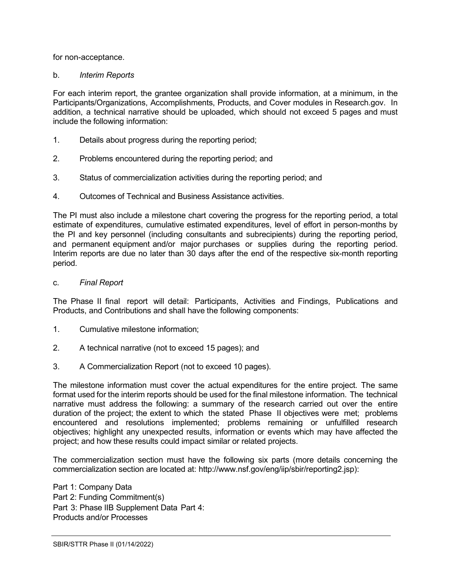for non-acceptance.

### b. *Interim Reports*

For each interim report, the grantee organization shall provide information, at a minimum, in the Participants/Organizations, Accomplishments, Products, and Cover modules in Research.gov. In addition, a technical narrative should be uploaded, which should not exceed 5 pages and must include the following information:

- 1. Details about progress during the reporting period;
- 2. Problems encountered during the reporting period; and
- 3. Status of commercialization activities during the reporting period; and
- 4. Outcomes of Technical and Business Assistance activities.

The PI must also include a milestone chart covering the progress for the reporting period, a total estimate of expenditures, cumulative estimated expenditures, level of effort in person-months by the PI and key personnel (including consultants and subrecipients) during the reporting period, and permanent equipment and/or major purchases or supplies during the reporting period. Interim reports are due no later than 30 days after the end of the respective six-month reporting period.

c. *Final Report*

The Phase II final report will detail: Participants, Activities and Findings, Publications and Products, and Contributions and shall have the following components:

- 1. Cumulative milestone information;
- 2. A technical narrative (not to exceed 15 pages); and
- 3. A Commercialization Report (not to exceed 10 pages).

The milestone information must cover the actual expenditures for the entire project. The same format used for the interim reports should be used for the final milestone information. The technical narrative must address the following: a summary of the research carried out over the entire duration of the project; the extent to which the stated Phase II objectives were met; problems encountered and resolutions implemented; problems remaining or unfulfilled research objectives; highlight any unexpected results, information or events which may have affected the project; and how these results could impact similar or related projects.

The commercialization section must have the following six parts (more details concerning the commercialization section are located at: [http://www.nsf.gov/eng/iip/sbir/reporting2.jsp\):](http://www.nsf.gov/eng/iip/sbir/reporting2.jsp)

Part 1: Company Data Part 2: Funding Commitment(s) Part 3: Phase lIB Supplement Data Part 4: Products and/or Processes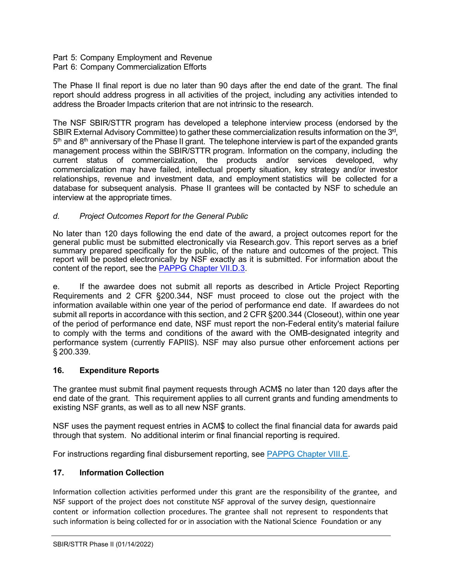#### Part 5: Company Employment and Revenue Part 6: Company Commercialization Efforts

The Phase II final report is due no later than 90 days after the end date of the grant. The final report should address progress in all activities of the project, including any activities intended to address the Broader Impacts criterion that are not intrinsic to the research.

The NSF SBIR/STTR program has developed a telephone interview process (endorsed by the SBIR External Advisory Committee) to gather these commercialization results information on the 3<sup>rd</sup>,  $5<sup>th</sup>$  and  $8<sup>th</sup>$  anniversary of the Phase II grant. The telephone interview is part of the expanded grants management process within the SBIR/STTR program. Information on the company, including the current status of commercialization, the products and/or services developed, why commercialization may have failed, intellectual property situation, key strategy and/or investor relationships, revenue and investment data, and employment statistics will be collected for a database for subsequent analysis. Phase II grantees will be contacted by NSF to schedule an interview at the appropriate times.

# *d. Project Outcomes Report for the General Public*

No later than 120 days following the end date of the award, a project outcomes report for the general public must be submitted electronically via Research.gov. This report serves as a brief summary prepared specifically for the public, of the nature and outcomes of the project. This report will be posted electronically by NSF exactly as it is submitted. For information about the content of the report, see the [PAPPG Chapter VII.D.3.](https://www.nsf.gov/pubs/policydocs/pappg22_1/pappg_7.jsp#VIID3)

e. If the awardee does not submit all reports as described in Article Project Reporting Requirements and 2 CFR §200.344, NSF must proceed to close out the project with the information available within one year of the period of performance end date. If awardees do not submit all reports in accordance with this section, and 2 CFR §200.344 (Closeout), within one year of the period of performance end date, NSF must report the non-Federal entity's material failure to comply with the terms and conditions of the award with the OMB-designated integrity and performance system (currently FAPIIS). NSF may also pursue other enforcement actions per § 200.339.

## <span id="page-11-0"></span>**16. Expenditure Reports**

The grantee must submit final payment requests through ACM\$ no later than 120 days after the end date of the grant. This requirement applies to all current grants and funding amendments to existing NSF grants, as well as to all new NSF grants.

NSF uses the payment request entries in ACM\$ to collect the final financial data for awards paid through that system. No additional interim or final financial reporting is required.

For instructions regarding final disbursement reporting, see [PAPPG Chapter VIII.E.](https://nsf.gov/pubs/policydocs/pappg22_1/pappg_8.jsp#VIIIE)

## <span id="page-11-1"></span>**17. Information Collection**

Information collection activities performed under this grant are the responsibility of the grantee, and NSF support of the project does not constitute NSF approval of the survey design, questionnaire content or information collection procedures. The grantee shall not represent to respondents that such information is being collected for or in association with the National Science Foundation or any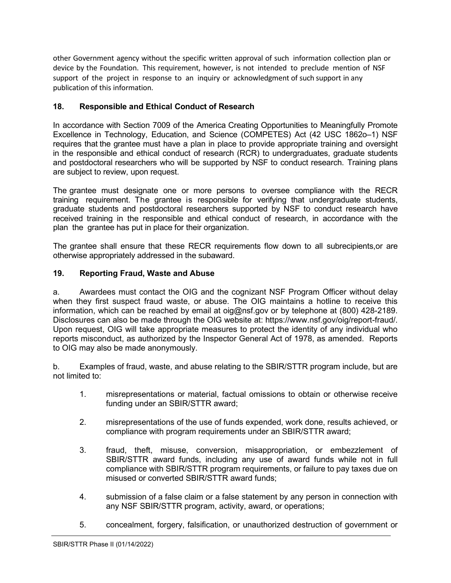other Government agency without the specific written approval of such information collection plan or device by the Foundation. This requirement, however, is not intended to preclude mention of NSF support of the project in response to an inquiry or acknowledgment of such support in any publication of this information.

## <span id="page-12-0"></span>**18. Responsible and Ethical Conduct of Research**

In accordance with Section 7009 of the America Creating Opportunities to Meaningfully Promote Excellence in Technology, Education, and Science (COMPETES) Act (42 USC 1862o–1) NSF requires that the grantee must have a plan in place to provide appropriate training and oversight in the responsible and ethical conduct of research (RCR) to undergraduates, graduate students and postdoctoral researchers who will be supported by NSF to conduct research. Training plans are subject to review, upon request.

The grantee must designate one or more persons to oversee compliance with the RECR training requirement. The grantee is responsible for verifying that undergraduate students, graduate students and postdoctoral researchers supported by NSF to conduct research have received training in the responsible and ethical conduct of research, in accordance with the plan the grantee has put in place for their organization.

The grantee shall ensure that these RECR requirements flow down to all subrecipients,or are otherwise appropriately addressed in the subaward.

# <span id="page-12-1"></span>**19. Reporting Fraud, Waste and Abuse**

a. Awardees must contact the OIG and the cognizant NSF Program Officer without delay when they first suspect fraud waste, or abuse. The OIG maintains a hotline to receive this information, which can be reached by email at oig@nsf.gov or by telephone at (800) 428-2189. Disclosures can also be made through the OIG website at: https://www.nsf.gov/oig/report-fraud/. Upon request, OIG will take appropriate measures to protect the identity of any individual who reports misconduct, as authorized by the Inspector General Act of 1978, as amended. Reports to OIG may also be made anonymously.

b. Examples of fraud, waste, and abuse relating to the SBIR/STTR program include, but are not limited to:

- 1. misrepresentations or material, factual omissions to obtain or otherwise receive funding under an SBIR/STTR award;
- 2. misrepresentations of the use of funds expended, work done, results achieved, or compliance with program requirements under an SBIR/STTR award;
- 3. fraud, theft, misuse, conversion, misappropriation, or embezzlement of SBIR/STTR award funds, including any use of award funds while not in full compliance with SBIR/STTR program requirements, or failure to pay taxes due on misused or converted SBIR/STTR award funds;
- 4. submission of a false claim or a false statement by any person in connection with any NSF SBIR/STTR program, activity, award, or operations;
- 5. concealment, forgery, falsification, or unauthorized destruction of government or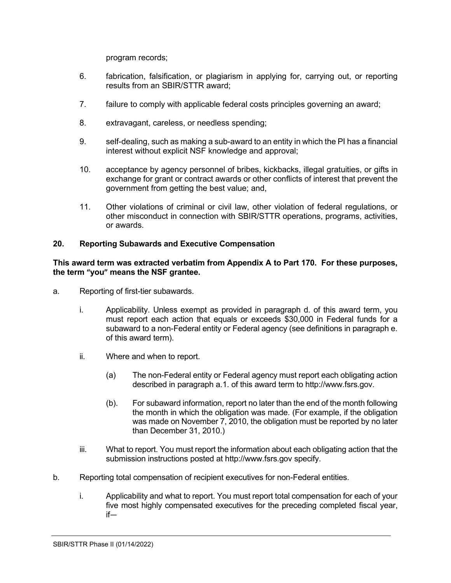program records;

- 6. fabrication, falsification, or plagiarism in applying for, carrying out, or reporting results from an SBIR/STTR award;
- 7. failure to comply with applicable federal costs principles governing an award;
- 8. extravagant, careless, or needless spending;
- 9. self-dealing, such as making a sub-award to an entity in which the PI has a financial interest without explicit NSF knowledge and approval;
- 10. acceptance by agency personnel of bribes, kickbacks, illegal gratuities, or gifts in exchange for grant or contract awards or other conflicts of interest that prevent the government from getting the best value; and,
- 11. Other violations of criminal or civil law, other violation of federal regulations, or other misconduct in connection with SBIR/STTR operations, programs, activities, or awards.

## <span id="page-13-0"></span>**20. Reporting Subawards and Executive Compensation**

### **This award term was extracted verbatim from Appendix A to Part 170. For these purposes, the term "you" means the NSF grantee.**

- a. Reporting of first-tier subawards.
	- i. Applicability. Unless exempt as provided in paragraph d. of this award term, you must report each action that equals or exceeds \$30,000 in Federal funds for a subaward to a non-Federal entity or Federal agency (see definitions in paragraph e. of this award term).
	- ii. Where and when to report.
		- (a) The non-Federal entity or Federal agency must report each obligating action described in paragraph a.1. of this award term to http://www.fsrs.gov.
		- (b). For subaward information, report no later than the end of the month following the month in which the obligation was made. (For example, if the obligation was made on November 7, 2010, the obligation must be reported by no later than December 31, 2010.)
	- iii. What to report. You must report the information about each obligating action that the submission instructions posted at http://www.fsrs.gov specify.
- b. Reporting total compensation of recipient executives for non-Federal entities.
	- i. Applicability and what to report. You must report total compensation for each of your five most highly compensated executives for the preceding completed fiscal year, if—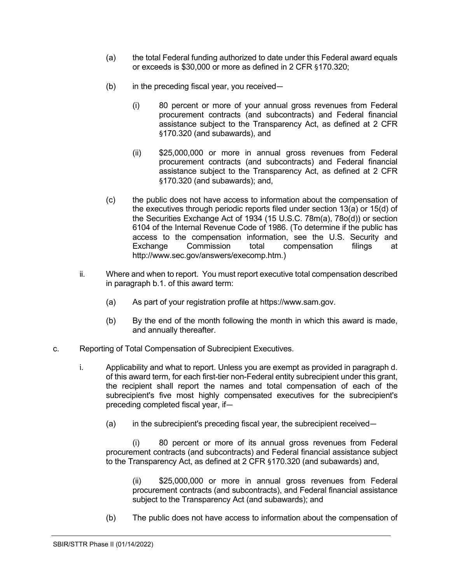- (a) the total Federal funding authorized to date under this Federal award equals or exceeds is \$30,000 or more as defined in 2 CFR §170.320;
- (b) in the preceding fiscal year, you received—
	- (i) 80 percent or more of your annual gross revenues from Federal procurement contracts (and subcontracts) and Federal financial assistance subject to the Transparency Act, as defined at 2 CFR §170.320 (and subawards), and
	- (ii) \$25,000,000 or more in annual gross revenues from Federal procurement contracts (and subcontracts) and Federal financial assistance subject to the Transparency Act, as defined at 2 CFR §170.320 (and subawards); and,
- (c) the public does not have access to information about the compensation of the executives through periodic reports filed under section 13(a) or 15(d) of the Securities Exchange Act of 1934 (15 U.S.C. 78m(a), 78o(d)) or section 6104 of the Internal Revenue Code of 1986. (To determine if the public has access to the compensation information, see the U.S. Security and Exchange Commission total compensation filings at http://www.sec.gov/answers/execomp.htm.)
- ii. Where and when to report. You must report executive total compensation described in paragraph b.1. of this award term:
	- (a) As part of your registration profile at https://www.sam.gov.
	- (b) By the end of the month following the month in which this award is made, and annually thereafter.
- c. Reporting of Total Compensation of Subrecipient Executives.
	- i. Applicability and what to report. Unless you are exempt as provided in paragraph d. of this award term, for each first-tier non-Federal entity subrecipient under this grant, the recipient shall report the names and total compensation of each of the subrecipient's five most highly compensated executives for the subrecipient's preceding completed fiscal year, if—
		- (a) in the subrecipient's preceding fiscal year, the subrecipient received—

(i) 80 percent or more of its annual gross revenues from Federal procurement contracts (and subcontracts) and Federal financial assistance subject to the Transparency Act, as defined at 2 CFR §170.320 (and subawards) and,

(ii) \$25,000,000 or more in annual gross revenues from Federal procurement contracts (and subcontracts), and Federal financial assistance subject to the Transparency Act (and subawards); and

(b) The public does not have access to information about the compensation of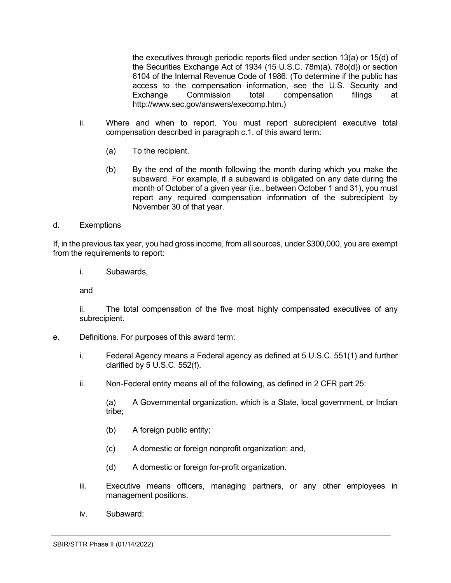the executives through periodic reports filed under section 13(a) or 15(d) of the Securities Exchange Act of 1934 (15 U.S.C. 78m(a), 78o(d)) or section 6104 of the Internal Revenue Code of 1986. (To determine if the public has access to the compensation information, see the U.S. Security and Exchange Commission total compensation filings at http://www.sec.gov/answers/execomp.htm.)

- ii. Where and when to report. You must report subrecipient executive total compensation described in paragraph c.1. of this award term:
	- (a) To the recipient.
	- (b) By the end of the month following the month during which you make the subaward. For example, if a subaward is obligated on any date during the month of October of a given year (i.e., between October 1 and 31), you must report any required compensation information of the subrecipient by November 30 of that year.

### d. Exemptions

If, in the previous tax year, you had gross income, from all sources, under \$300,000, you are exempt from the requirements to report:

i. Subawards,

and

ii. The total compensation of the five most highly compensated executives of any subrecipient.

- e. Definitions. For purposes of this award term:
	- i. Federal Agency means a Federal agency as defined at 5 U.S.C. 551(1) and further clarified by 5 U.S.C. 552(f).
	- ii. Non-Federal entity means all of the following, as defined in 2 CFR part 25:

(a) A Governmental organization, which is a State, local government, or Indian tribe;

- (b) A foreign public entity;
- (c) A domestic or foreign nonprofit organization; and,
- (d) A domestic or foreign for-profit organization.
- iii. Executive means officers, managing partners, or any other employees in management positions.
- iv. Subaward: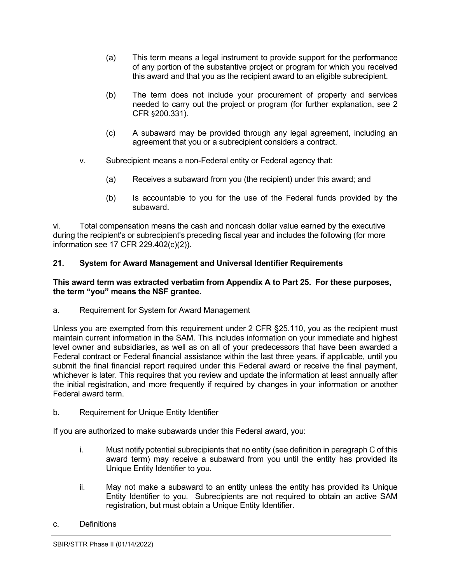- (a) This term means a legal instrument to provide support for the performance of any portion of the substantive project or program for which you received this award and that you as the recipient award to an eligible subrecipient.
- (b) The term does not include your procurement of property and services needed to carry out the project or program (for further explanation, see 2 CFR §200.331).
- (c) A subaward may be provided through any legal agreement, including an agreement that you or a subrecipient considers a contract.
- v. Subrecipient means a non-Federal entity or Federal agency that:
	- (a) Receives a subaward from you (the recipient) under this award; and
	- (b) Is accountable to you for the use of the Federal funds provided by the subaward.

vi. Total compensation means the cash and noncash dollar value earned by the executive during the recipient's or subrecipient's preceding fiscal year and includes the following (for more information see 17 CFR 229.402(c)(2)).

# <span id="page-16-0"></span>**21. System for Award Management and Universal Identifier Requirements**

### **This award term was extracted verbatim from Appendix A to Part 25. For these purposes, the term "you" means the NSF grantee.**

a. Requirement for System for Award Management

Unless you are exempted from this requirement under 2 CFR §25.110, you as the recipient must maintain current information in the SAM. This includes information on your immediate and highest level owner and subsidiaries, as well as on all of your predecessors that have been awarded a Federal contract or Federal financial assistance within the last three years, if applicable, until you submit the final financial report required under this Federal award or receive the final payment, whichever is later. This requires that you review and update the information at least annually after the initial registration, and more frequently if required by changes in your information or another Federal award term.

b. Requirement for Unique Entity Identifier

If you are authorized to make subawards under this Federal award, you:

- i. Must notify potential subrecipients that no entity (see definition in paragraph C of this award term) may receive a subaward from you until the entity has provided its Unique Entity Identifier to you.
- ii. May not make a subaward to an entity unless the entity has provided its Unique Entity Identifier to you. Subrecipients are not required to obtain an active SAM registration, but must obtain a Unique Entity Identifier.
- c. Definitions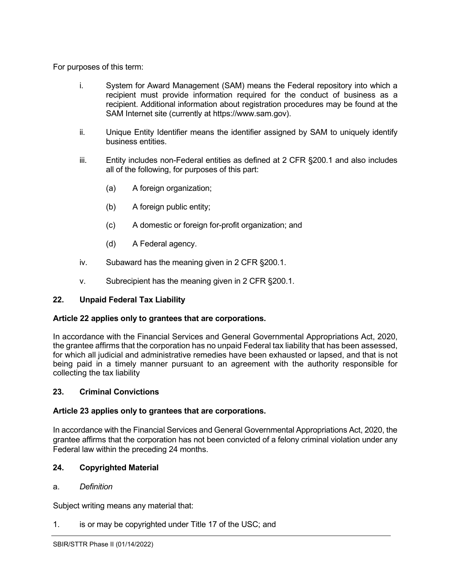For purposes of this term:

- i. System for Award Management (SAM) means the Federal repository into which a recipient must provide information required for the conduct of business as a recipient. Additional information about registration procedures may be found at the SAM Internet site (currently at https://www.sam.gov).
- ii. Unique Entity Identifier means the identifier assigned by SAM to uniquely identify business entities.
- iii. Entity includes non-Federal entities as defined at 2 CFR §200.1 and also includes all of the following, for purposes of this part:
	- (a) A foreign organization;
	- (b) A foreign public entity;
	- (c) A domestic or foreign for-profit organization; and
	- (d) A Federal agency.
- iv. Subaward has the meaning given in 2 CFR §200.1.
- v. Subrecipient has the meaning given in 2 CFR §200.1.

## <span id="page-17-0"></span>**22. Unpaid Federal Tax Liability**

## **Article 22 applies only to grantees that are corporations.**

In accordance with the Financial Services and General Governmental Appropriations Act, 2020, the grantee affirms that the corporation has no unpaid Federal tax liability that has been assessed, for which all judicial and administrative remedies have been exhausted or lapsed, and that is not being paid in a timely manner pursuant to an agreement with the authority responsible for collecting the tax liability

## <span id="page-17-1"></span>**23. Criminal Convictions**

## **Article 23 applies only to grantees that are corporations.**

In accordance with the Financial Services and General Governmental Appropriations Act, 2020, the grantee affirms that the corporation has not been convicted of a felony criminal violation under any Federal law within the preceding 24 months.

## <span id="page-17-2"></span>**24. Copyrighted Material**

### a. *Definition*

Subject writing means any material that:

1. is or may be copyrighted under Title 17 of the [USC;](http://www.access.gpo.gov/uscode/title17/title17.html) and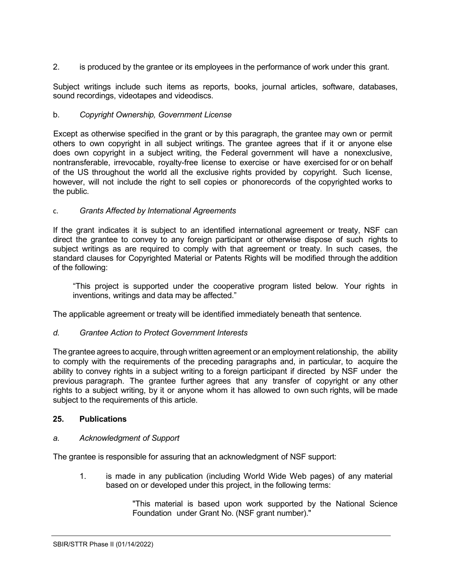2. is produced by the grantee or its employees in the performance of work under this grant.

Subject writings include such items as reports, books, journal articles, software, databases, sound recordings, videotapes and videodiscs.

## b. *Copyright Ownership, Government License*

Except as otherwise specified in the grant or by this paragraph, the grantee may own or permit others to own copyright in all subject writings. The grantee agrees that if it or anyone else does own copyright in a subject writing, the Federal government will have a nonexclusive, nontransferable, irrevocable, royalty-free license to exercise or have exercised for or on behalf of the US throughout the world all the exclusive rights provided by copyright. Such license, however, will not include the right to sell copies or phonorecords of the copyrighted works to the public.

## c. *Grants Affected by International Agreements*

If the grant indicates it is subject to an identified international agreement or treaty, NSF can direct the grantee to convey to any foreign participant or otherwise dispose of such rights to subject writings as are required to comply with that agreement or treaty. In such cases, the standard clauses for Copyrighted Material or Patents Rights will be modified through the addition of the following:

"This project is supported under the cooperative program listed below. Your rights in inventions, writings and data may be affected."

The applicable agreement or treaty will be identified immediately beneath that sentence.

## *d. Grantee Action to Protect Government Interests*

The grantee agrees to acquire, through written agreement or an employment relationship, the ability to comply with the requirements of the preceding paragraphs and, in particular, to acquire the ability to convey rights in a subject writing to a foreign participant if directed by NSF under the previous paragraph. The grantee further agrees that any transfer of copyright or any other rights to a subject writing, by it or anyone whom it has allowed to own such rights, will be made subject to the requirements of this article.

## <span id="page-18-0"></span>**25. Publications**

### *a. Acknowledgment of Support*

The grantee is responsible for assuring that an acknowledgment of NSF support:

1. is made in any publication (including World Wide Web pages) of any material based on or developed under this project, in the following terms:

> "This material is based upon work supported by the National Science Foundation under Grant No. (NSF grant number)."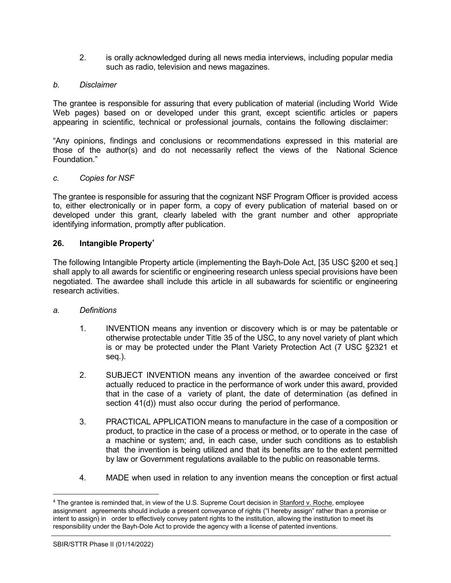2. is orally acknowledged during all news media interviews, including popular media such as radio, television and news magazines.

### *b. Disclaimer*

The grantee is responsible for assuring that every publication of material (including World Wide Web pages) based on or developed under this grant, except scientific articles or papers appearing in scientific, technical or professional journals, contains the following disclaimer:

"Any opinions, findings and conclusions or recommendations expressed in this material are those of the author(s) and do not necessarily reflect the views of the National Science Foundation."

### *c. Copies for NSF*

The grantee is responsible for assuring that the cognizant NSF Program Officer is provided access to, either electronically or in paper form, a copy of every publication of material based on or developed under this grant, clearly labeled with the grant number and other appropriate identifying information, promptly after publication.

### <span id="page-19-0"></span>**26. Intangible Property[4](#page-19-1)**

The following Intangible Property article (implementing the Bayh-Dole Act, [35 USC §200 et seq.] shall apply to all awards for scientific or engineering research unless special provisions have been negotiated. The awardee shall include this article in all subawards for scientific or engineering research activities.

### *a. Definitions*

- 1. INVENTION means any invention or discovery which is or may be patentable or otherwise protectable under Title 35 of the USC, to any novel variety of plant which is or may be protected under the Plant Variety Protection Act (7 USC [§2321](http://www.access.gpo.gov/uscode/title7/chapter57_.html) et [seq.\)](http://www.access.gpo.gov/uscode/title7/chapter57_.html).
- 2. SUBJECT INVENTION means any invention of the awardee conceived or first actually reduced to practice in the performance of work under this award, provided that in the case of a variety of plant, the date of determination (as defined in section 41(d)) must also occur during the period of performance.
- 3. PRACTICAL APPLICATION means to manufacture in the case of a composition or product, to practice in the case of a process or method, or to operate in the case of a machine or system; and, in each case, under such conditions as to establish that the invention is being utilized and that its benefits are to the extent permitted by law or Government regulations available to the public on reasonable terms.
- 4. MADE when used in relation to any invention means the conception or first actual

<span id="page-19-1"></span><sup>4</sup> The grantee is reminded that, in view of the U.S. Supreme Court decision in Stanford v. Roche, employee assignment agreements should include a present conveyance of rights ("I hereby assign" rather than a promise or intent to assign) in order to effectively convey patent rights to the institution, allowing the institution to meet its responsibility under the Bayh-Dole Act to provide the agency with a license of patented inventions.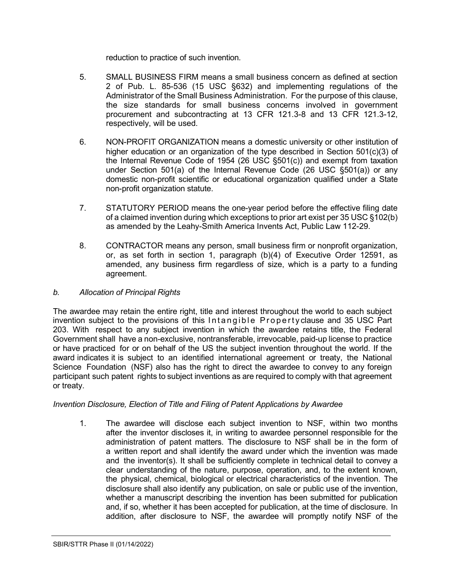reduction to practice of such invention.

- 5. SMALL BUSINESS FIRM means a small business concern as defined at section 2 of Pub. L. 85-536 (15 USC §632) and implementing regulations of the Administrator of the Small Business Administration. For the purpose of this clause, the size standards for small business concerns involved in government procurement and subcontracting at 13 CFR 121.3-8 and 13 CFR 121.3-12, respectively, will be used.
- 6. NON-PROFIT ORGANIZATION means a domestic university or other institution of higher education or an organization of the type described in Section 501(c)(3) of the Internal Revenue Code of 1954 (26 USC [§501\(c\)\)](http://frwebgate.access.gpo.gov/cgi-bin/getdoc.cgi?dbname=browse_usc&amp%3Bdocid=Cite%3A%2B26USC501) and exempt from taxation under Section 501(a) of the Internal Revenue Code (26 USC [§501\(a\)\)](http://frwebgate.access.gpo.gov/cgi-bin/getdoc.cgi?dbname=browse_usc&amp%3Bdocid=Cite%3A%2B26USC501) or any domestic non-profit scientific or educational organization qualified under a State non-profit organization statute.
- 7. STATUTORY PERIOD means the one-year period before the effective filing date of a claimed invention during which exceptions to prior art exist per 35 USC §102(b) as amended by the Leahy-Smith America Invents Act, Public Law 112-29.
- 8. CONTRACTOR means any person, small business firm or nonprofit organization, or, as set forth in section 1, paragraph (b)(4) of Executive Order 12591, as amended, any business firm regardless of size, which is a party to a funding agreement.

### *b. Allocation of Principal Rights*

The awardee may retain the entire right, title and interest throughout the world to each subject invention subject to the provisions of this Intangible Property clause and 35 [USC](http://frwebgate.access.gpo.gov/cgi-bin/getdoc.cgi?dbname=browse_usc&docid=Cite%3A%2B35USC203) Part [203.](http://frwebgate.access.gpo.gov/cgi-bin/getdoc.cgi?dbname=browse_usc&docid=Cite%3A%2B35USC203) With respect to any subject invention in which the awardee retains title, the Federal Government shall have a non-exclusive, nontransferable, irrevocable, paid-up license to practice or have practiced for or on behalf of the US the subject invention throughout the world. If the award indicates it is subject to an identified international agreement or treaty, the National Science Foundation (NSF) also has the right to direct the awardee to convey to any foreign participant such patent rights to subject inventions as are required to comply with that agreement or treaty.

## *Invention Disclosure, Election of Title and Filing of Patent Applications by Awardee*

1. The awardee will disclose each subject invention to NSF, within two months after the inventor discloses it, in writing to awardee personnel responsible for the administration of patent matters. The disclosure to NSF shall be in the form of a written report and shall identify the award under which the invention was made and the inventor(s). It shall be sufficiently complete in technical detail to convey a clear understanding of the nature, purpose, operation, and, to the extent known, the physical, chemical, biological or electrical characteristics of the invention. The disclosure shall also identify any publication, on sale or public use of the invention, whether a manuscript describing the invention has been submitted for publication and, if so, whether it has been accepted for publication, at the time of disclosure. In addition, after disclosure to NSF, the awardee will promptly notify NSF of the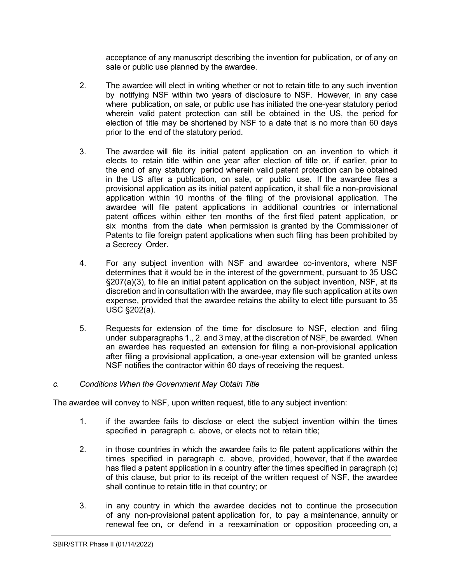acceptance of any manuscript describing the invention for publication, or of any on sale or public use planned by the awardee.

- 2. The awardee will elect in writing whether or not to retain title to any such invention by notifying NSF within two years of disclosure to NSF. However, in any case where publication, on sale, or public use has initiated the one-year statutory period wherein valid patent protection can still be obtained in the US, the period for election of title may be shortened by NSF to a date that is no more than 60 days prior to the end of the statutory period.
- 3. The awardee will file its initial patent application on an invention to which it elects to retain title within one year after election of title or, if earlier, prior to the end of any statutory period wherein valid patent protection can be obtained in the US after a publication, on sale, or public use. If the awardee files a provisional application as its initial patent application, it shall file a non-provisional application within 10 months of the filing of the provisional application. The awardee will file patent applications in additional countries or international patent offices within either ten months of the first filed patent application, or six months from the date when permission is granted by the Commissioner of Patents to file foreign patent applications when such filing has been prohibited by a Secrecy Order.
- 4. For any subject invention with NSF and awardee co-inventors, where NSF determines that it would be in the interest of the government, pursuant to 35 USC §207(a)(3), to file an initial patent application on the subject invention, NSF, at its discretion and in consultation with the awardee*,* may file such application at its own expense, provided that the awardee retains the ability to elect title pursuant to 35 USC §202(a).
- 5. Requests for extension of the time for disclosure to NSF, election and filing under subparagraphs 1., 2. and 3 may, at the discretion of NSF, be awarded. When an awardee has requested an extension for filing a non-provisional application after filing a provisional application, a one-year extension will be granted unless NSF notifies the contractor within 60 days of receiving the request.

### *c. Conditions When the Government May Obtain Title*

The awardee will convey to NSF, upon written request, title to any subject invention:

- 1. if the awardee fails to disclose or elect the subject invention within the times specified in paragraph c. above, or elects not to retain title;
- 2. in those countries in which the awardee fails to file patent applications within the times specified in paragraph c. above, provided, however, that if the awardee has filed a patent application in a country after the times specified in paragraph (c) of this clause, but prior to its receipt of the written request of NSF*,* the awardee shall continue to retain title in that country; or
- 3. in any country in which the awardee decides not to continue the prosecution of any non-provisional patent application for, to pay a maintenance, annuity or renewal fee on, or defend in a reexamination or opposition proceeding on, a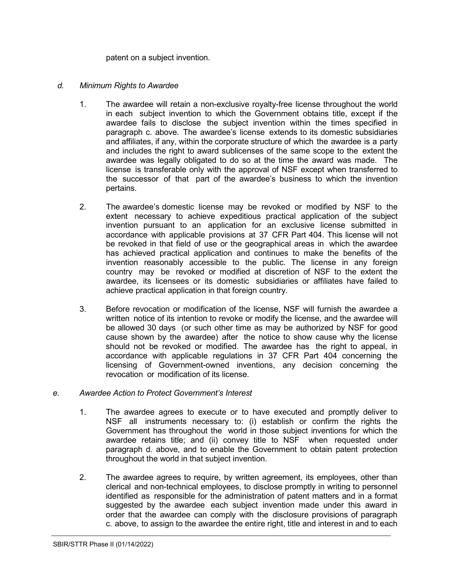patent on a subject invention.

- *d. Minimum Rights to Awardee*
	- 1. The awardee will retain a non-exclusive royalty-free license throughout the world in each subject invention to which the Government obtains title, except if the awardee fails to disclose the subject invention within the times specified in paragraph c. above. The awardee's license extends to its domestic subsidiaries and affiliates, if any, within the corporate structure of which the awardee is a party and includes the right to award sublicenses of the same scope to the extent the awardee was legally obligated to do so at the time the award was made. The license is transferable only with the approval of NSF except when transferred to the successor of that part of the awardee's business to which the invention pertains.
	- 2. The awardee's domestic license may be revoked or modified by NSF to the extent necessary to achieve expeditious practical application of the subject invention pursuant to an application for an exclusive license submitted in accordance with applicable provisions at [37](http://www.access.gpo.gov/nara/cfr/waisidx_06/37cfr404_06.html) [CFR](http://www.access.gpo.gov/nara/cfr/waisidx_06/37cfr404_06.html) Part 404. This license will not be revoked in that field of use or the geographical areas in which the awardee has achieved practical application and continues to make the benefits of the invention reasonably accessible to the public. The license in any foreign country may be revoked or modified at discretion of NSF to the extent the awardee, its licensees or its domestic subsidiaries or affiliates have failed to achieve practical application in that foreign country.
	- 3. Before revocation or modification of the license, NSF will furnish the awardee a written notice of its intention to revoke or modify the license, and the awardee will be allowed 30 days (or such other time as may be authorized by NSF for good cause shown by the awardee) after the notice to show cause why the license should not be revoked or modified. The awardee has the right to appeal, in accordance with applicable regulations in 37 [CFR](http://www.access.gpo.gov/nara/cfr/waisidx_06/37cfr404_06.html) Part 404 concerning the licensing of Government-owned inventions, any decision concerning the revocation or modification of its license.

### *e. Awardee Action to Protect Government's Interest*

- 1. The awardee agrees to execute or to have executed and promptly deliver to NSF all instruments necessary to: (i) establish or confirm the rights the Government has throughout the world in those subject inventions for which the awardee retains title; and (ii) convey title to NSF when requested under paragraph d. above, and to enable the Government to obtain patent protection throughout the world in that subject invention.
- 2. The awardee agrees to require, by written agreement, its employees, other than clerical and non-technical employees, to disclose promptly in writing to personnel identified as responsible for the administration of patent matters and in a format suggested by the awardee each subject invention made under this award in order that the awardee can comply with the disclosure provisions of paragraph c. above, to assign to the awardee the entire right, title and interest in and to each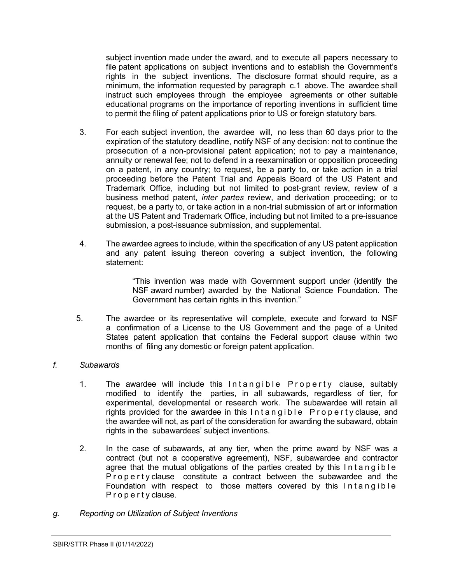subject invention made under the award, and to execute all papers necessary to file patent applications on subject inventions and to establish the Government's rights in the subject inventions. The disclosure format should require, as a minimum, the information requested by paragraph c.1 above. The awardee shall instruct such employees through the employee agreements or other suitable educational programs on the importance of reporting inventions in sufficient time to permit the filing of patent applications prior to US or foreign statutory bars.

- 3. For each subject invention, the awardee will, no less than 60 days prior to the expiration of the statutory deadline, notify NSF of any decision: not to continue the prosecution of a non-provisional patent application; not to pay a maintenance, annuity or renewal fee; not to defend in a reexamination or opposition proceeding on a patent, in any country; to request, be a party to, or take action in a trial proceeding before the Patent Trial and Appeals Board of the US Patent and Trademark Office, including but not limited to post-grant review, review of a business method patent, *inter partes* review, and derivation proceeding; or to request, be a party to, or take action in a non-trial submission of art or information at the US Patent and Trademark Office, including but not limited to a pre-issuance submission, a post-issuance submission, and supplemental.
- 4. The awardee agrees to include, within the specification of any US patent application and any patent issuing thereon covering a subject invention, the following statement:

"This invention was made with Government support under (identify the NSF award number) awarded by the National Science Foundation. The Government has certain rights in this invention."

5. The awardee or its representative will complete, execute and forward to NSF a confirmation of a License to the US Government and the page of a United States patent application that contains the Federal support clause within two months of filing any domestic or foreign patent application.

### *f. Subawards*

- 1. The awardee will include this Intangible Property clause, suitably modified to identify the parties, in all subawards, regardless of tier, for experimental, developmental or research work. The subawardee will retain all rights provided for the awardee in this Intangible Property clause, and the awardee will not, as part of the consideration for awarding the subaward, obtain rights in the subawardees' subject inventions.
- 2. In the case of subawards, at any tier, when the prime award by NSF was a contract (but not a cooperative agreement), NSF, subawardee and contractor agree that the mutual obligations of the parties created by this Intangible Property clause constitute a contract between the subawardee and the Foundation with respect to those matters covered by this Intangible Property clause.
- *g. Reporting on Utilization of Subject Inventions*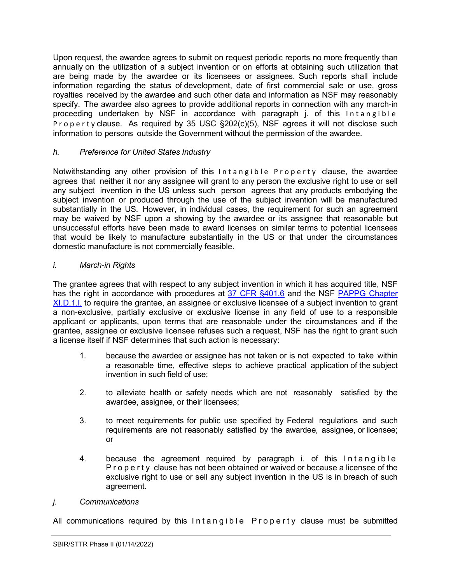Upon request, the awardee agrees to submit on request periodic reports no more frequently than annually on the utilization of a subject invention or on efforts at obtaining such utilization that are being made by the awardee or its licensees or assignees. Such reports shall include information regarding the status of development, date of first commercial sale or use, gross royalties received by the awardee and such other data and information as NSF may reasonably specify. The awardee also agrees to provide additional reports in connection with any march-in proceeding undertaken by NSF in accordance with paragraph j. of this Intangible Property clause. As required by 35 USC [§202\(c\)\(5\),](http://frwebgate.access.gpo.gov/cgi-bin/getdoc.cgi?dbname=browse_usc&docid=Cite%3A%2B35USC202) NSF agrees it will not disclose such information to persons outside the Government without the permission of the awardee.

# *h. Preference for United States Industry*

Notwithstanding any other provision of this Intangible Property clause, the awardee agrees that neither it nor any assignee will grant to any person the exclusive right to use or sell any subject invention in the US unless such person agrees that any products embodying the subject invention or produced through the use of the subject invention will be manufactured substantially in the US. However, in individual cases, the requirement for such an agreement may be waived by NSF upon a showing by the awardee or its assignee that reasonable but unsuccessful efforts have been made to award licenses on similar terms to potential licensees that would be likely to manufacture substantially in the US or that under the circumstances domestic manufacture is not commercially feasible.

## *i. March-in Rights*

The grantee agrees that with respect to any subject invention in which it has acquired title, NSF has the right in accordance with procedures at [37 CFR §401.6](http://www.access.gpo.gov/nara/cfr/waisidx_06/37cfr401_06.html) and the NSF PAPPG Chapter XI.D.1.I. to require the grantee, an assignee or exclusive licensee of a subject invention to grant a non-exclusive, partially exclusive or exclusive license in any field of use to a responsible applicant or applicants, upon terms that are reasonable under the circumstances and if the grantee, assignee or exclusive licensee refuses such a request, NSF has the right to grant such a license itself if NSF determines that such action is necessary:

- 1. because the awardee or assignee has not taken or is not expected to take within a reasonable time, effective steps to achieve practical application of the subject invention in such field of use;
- 2. to alleviate health or safety needs which are not reasonably satisfied by the awardee, assignee, or their licensees;
- 3. to meet requirements for public use specified by Federal regulations and such requirements are not reasonably satisfied by the awardee, assignee, or licensee; or
- 4. because the agreement required by paragraph i. of this Intangible Property clause has not been obtained or waived or because a licensee of the exclusive right to use or sell any subject invention in the US is in breach of such agreement.

### *j. Communications*

All communications required by this Intangible Property clause must be submitted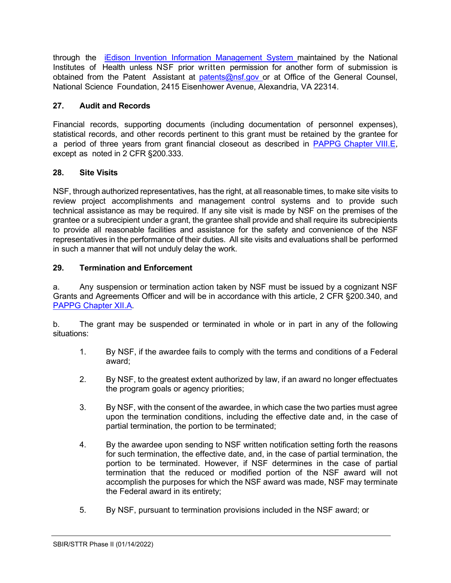through the iEdison Invention Information [Management](https://public.era.nih.gov/iedison/public/login.do?TYPE=33554433&REALMOID=06-dc4d00e8-1464-45e1-937f-0525407c30fd&GUID&SMAUTHREASON=0&METHOD=GET&SMAGENTNAME=-SM-938PYmoLVb4VrDeXo04LZUDVDvc%2b3899ByInEAjuSUvWNIGfB2zRpWiCivYGCogG&TARGET=-SM-http%3a%2f%2fpublic%2eera%2enih%2egov%2fiedison) System maintained by the National Institutes of Health unless NSF prior written permission for another form of submission is obtained from the Patent Assistant at [patents@nsf.gov](mailto:patents@nsf.gov) or at Office of the General Counsel, National Science Foundation, 2415 Eisenhower Avenue, Alexandria, VA 22314.

# <span id="page-25-0"></span>**27. Audit and Records**

Financial records, supporting documents (including documentation of personnel expenses), statistical records, and other records pertinent to this grant must be retained by the grantee for a period of three years from grant financial closeout as described in [PAPPG Chapter VIII.E,](https://www.nsf.gov/pubs/policydocs/pappg22_1/pappg_8.jsp#VIIIE) except as noted in 2 CFR §200.333.

# <span id="page-25-1"></span>**28. Site Visits**

NSF, through authorized representatives, has the right, at all reasonable times, to make site visits to review project accomplishments and management control systems and to provide such technical assistance as may be required. If any site visit is made by NSF on the premises of the grantee or a subrecipient under a grant, the grantee shall provide and shall require its subrecipients to provide all reasonable facilities and assistance for the safety and convenience of the NSF representatives in the performance of their duties. All site visits and evaluations shall be performed in such a manner that will not unduly delay the work.

## <span id="page-25-2"></span>**29. Termination and Enforcement**

a. Any suspension or termination action taken by NSF must be issued by a cognizant NSF Grants and Agreements Officer and will be in accordance with this article, 2 CFR §200.340, and [PAPPG Chapter XII.A.](https://www.nsf.gov/pubs/policydocs/pappg22_1/pappg_12.jsp#XIIA)

b. The grant may be suspended or terminated in whole or in part in any of the following situations:

- 1. By NSF, if the awardee fails to comply with the terms and conditions of a Federal award;
- 2. By NSF, to the greatest extent authorized by law, if an award no longer effectuates the program goals or agency priorities;
- 3. By NSF, with the consent of the awardee, in which case the two parties must agree upon the termination conditions, including the effective date and, in the case of partial termination, the portion to be terminated;
- 4. By the awardee upon sending to NSF written notification setting forth the reasons for such termination, the effective date, and, in the case of partial termination, the portion to be terminated. However, if NSF determines in the case of partial termination that the reduced or modified portion of the NSF award will not accomplish the purposes for which the NSF award was made, NSF may terminate the Federal award in its entirety;
- 5. By NSF, pursuant to termination provisions included in the NSF award; or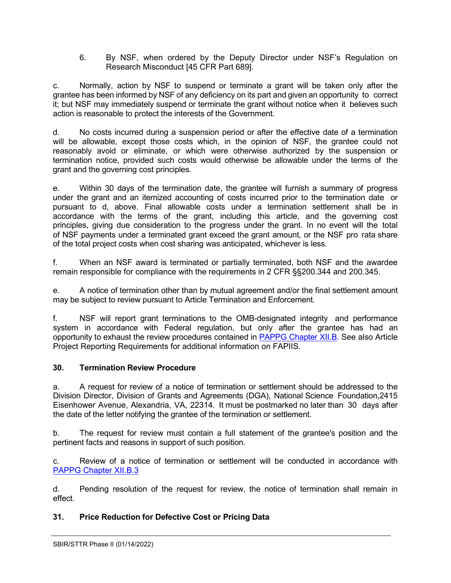6. By NSF, when ordered by the Deputy Director under NSF's Regulation on Research Misconduct [45 CFR Part 689].

c. Normally, action by NSF to suspend or terminate a grant will be taken only after the grantee has been informed by NSF of any deficiency on its part and given an opportunity to correct it; but NSF may immediately suspend or terminate the grant without notice when it believes such action is reasonable to protect the interests of the Government.

d. No costs incurred during a suspension period or after the effective date of a termination will be allowable, except those costs which, in the opinion of NSF, the grantee could not reasonably avoid or eliminate, or which were otherwise authorized by the suspension or termination notice, provided such costs would otherwise be allowable under the terms of the grant and the governing cost principles.

e. Within 30 days of the termination date, the grantee will furnish a summary of progress under the grant and an itemized accounting of costs incurred prior to the termination date or pursuant to d, above. Final allowable costs under a termination settlement shall be in accordance with the terms of the grant, including this article, and the governing cost principles, giving due consideration to the progress under the grant. In no event will the total of NSF payments under a terminated grant exceed the grant amount, or the NSF pro rata share of the total project costs when cost sharing was anticipated, whichever is less.

f. When an NSF award is terminated or partially terminated, both NSF and the awardee remain responsible for compliance with the requirements in 2 CFR §§200.344 and 200.345.

e. A notice of termination other than by mutual agreement and/or the final settlement amount may be subject to review pursuant to Article Termination and Enforcement.

f. NSF will report grant terminations to the OMB-designated integrity and performance system in accordance with Federal regulation, but only after the grantee has had an opportunity to exhaust the review procedures contained in [PAPPG](https://www.nsf.gov/pubs/policydocs/pappg22_1/pappg_12.jsp#XIIB) Chapter XII.B. See also Article Project Reporting Requirements for additional information on FAPIIS.

## <span id="page-26-0"></span>**30. Termination Review Procedure**

a. A request for review of a notice of termination or settlement should be addressed to the Division Director, Division of Grants and Agreements (DGA), National Science Foundation,2415 Eisenhower Avenue, Alexandria, VA, 22314. It must be postmarked no later than 30 days after the date of the letter notifying the grantee of the termination or settlement.

b. The request for review must contain a full statement of the grantee's position and the pertinent facts and reasons in support of such position.

c. Review of a notice of termination or settlement will be conducted in accordance with [PAPPG Chapter XII.B.3](https://www.nsf.gov/pubs/policydocs/pappg22_1/pappg_12.jsp#XIIC3)

d. Pending resolution of the request for review, the notice of termination shall remain in effect.

# <span id="page-26-1"></span>**31. Price Reduction for Defective Cost or Pricing Data**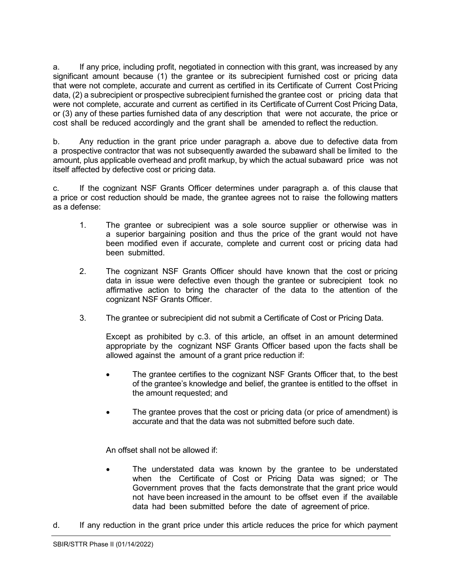a. If any price, including profit, negotiated in connection with this grant, was increased by any significant amount because (1) the grantee or its subrecipient furnished cost or pricing data that were not complete, accurate and current as certified in its Certificate of Current Cost Pricing data, (2) a subrecipient or prospective subrecipient furnished the grantee cost or pricing data that were not complete, accurate and current as certified in its Certificate of Current Cost Pricing Data, or (3) any of these parties furnished data of any description that were not accurate, the price or cost shall be reduced accordingly and the grant shall be amended to reflect the reduction.

b. Any reduction in the grant price under paragraph a. above due to defective data from a prospective contractor that was not subsequently awarded the subaward shall be limited to the amount, plus applicable overhead and profit markup, by which the actual subaward price was not itself affected by defective cost or pricing data.

c. If the cognizant NSF Grants Officer determines under paragraph a. of this clause that a price or cost reduction should be made, the grantee agrees not to raise the following matters as a defense:

- 1. The grantee or subrecipient was a sole source supplier or otherwise was in a superior bargaining position and thus the price of the grant would not have been modified even if accurate, complete and current cost or pricing data had been submitted.
- 2. The cognizant NSF Grants Officer should have known that the cost or pricing data in issue were defective even though the grantee or subrecipient took no affirmative action to bring the character of the data to the attention of the cognizant NSF Grants Officer.
- 3. The grantee or subrecipient did not submit a Certificate of Cost or Pricing Data.

Except as prohibited by c.3. of this article, an offset in an amount determined appropriate by the cognizant NSF Grants Officer based upon the facts shall be allowed against the amount of a grant price reduction if:

- The grantee certifies to the cognizant NSF Grants Officer that, to the best of the grantee's knowledge and belief, the grantee is entitled to the offset in the amount requested; and
- The grantee proves that the cost or pricing data (or price of amendment) is accurate and that the data was not submitted before such date.

An offset shall not be allowed if:

- The understated data was known by the grantee to be understated when the Certificate of Cost or Pricing Data was signed; or The Government proves that the facts demonstrate that the grant price would not have been increased in the amount to be offset even if the available data had been submitted before the date of agreement of price.
- d. If any reduction in the grant price under this article reduces the price for which payment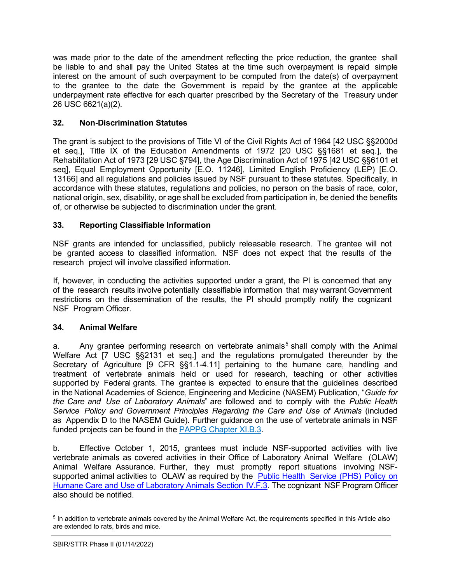was made prior to the date of the amendment reflecting the price reduction, the grantee shall be liable to and shall pay the United States at the time such overpayment is repaid simple interest on the amount of such overpayment to be computed from the date(s) of overpayment to the grantee to the date the Government is repaid by the grantee at the applicable underpayment rate effective for each quarter prescribed by the Secretary of the Treasury under 26 USC 6621(a)(2).

## <span id="page-28-0"></span>**32. Non-Discrimination Statutes**

The grant is subject to the provisions of Title VI of the Civil Rights Act of 1964 [42 USC §§2000d et seq.], Title IX of the Education Amendments of 1972 [20 USC §§1681 et seq.], the Rehabilitation Act of 1973 [29 USC §794], the Age Discrimination Act of 1975 [42 USC §§6101 et seq], Equal Employment Opportunity [E.O. 11246], Limited English Proficiency (LEP) [E.O. 13166] and all regulations and policies issued by NSF pursuant to these statutes. Specifically, in accordance with these statutes, regulations and policies, no person on the basis of race, color, national origin, sex, disability, or age shall be excluded from participation in, be denied the benefits of, or otherwise be subjected to discrimination under the grant.

## <span id="page-28-1"></span>**33. Reporting Classifiable Information**

NSF grants are intended for unclassified, publicly releasable research. The grantee will not be granted access to classified information. NSF does not expect that the results of the research project will involve classified information.

If, however, in conducting the activities supported under a grant, the PI is concerned that any of the research results involve potentially classifiable information that may warrant Government restrictions on the dissemination of the results, the PI should promptly notify the cognizant NSF Program Officer.

## <span id="page-28-2"></span>**34. Animal Welfare**

a. Any grantee performing research on vertebrate animals<sup>[5](#page-28-3)</sup> shall comply with the Animal Welfare Act [7 USC [§§2131](http://www.access.gpo.gov/uscode/title7/chapter54_.html) et seq.] and the regulations promulgated thereunder by the Secretary of Agriculture [9 CFR [§§1.1-4.11\]](http://www.access.gpo.gov/nara/cfr/waisidx_07/9cfrv1_07.html) pertaining to the humane care, handling and treatment of vertebrate animals held or used for research, teaching or other activities supported by Federal grants. The grantee is expected to ensure that the guidelines described in the National Academies of Science, Engineering and Medicine (NASEM) Publication, "*[Guide](http://www.nap.edu/readingroom/books/labrats/) for the [Care](http://www.nap.edu/readingroom/books/labrats/) and Use of [Laboratory](http://www.nap.edu/readingroom/books/labrats/) Animals*["](http://www.nap.edu/readingroom/books/labrats/) are followed and to comply with the *Public Health Service Policy and Government Principles Regarding the Care and Use of Animals* (included as Appendix D to the NASEM Guide). Further guidance on the use of vertebrate animals in NSF funded projects can be found in the PAPPG [Chapter](https://nsf.gov/pubs/policydocs/pappg22_1/pappg_11.jsp#XIB3) XI.B.3.

b. Effective October 1, 2015, grantees must include NSF-supported activities with live vertebrate animals as covered activities in their Office of Laboratory Animal Welfare (OLAW) Animal Welfare Assurance. Further, they must promptly report situations involving NSF-supported animal activities to OLAW as required by the Public Health [Service](http://grants.nih.gov/grants/olaw/references/phspol.htm) (PHS) Policy on Humane Care and Use of [Laboratory](http://grants.nih.gov/grants/olaw/references/phspol.htm) Animals Section IV.F.3. The cognizant NSF Program Officer also should be notified.

<span id="page-28-3"></span><sup>5</sup> In addition to vertebrate animals covered by the Animal Welfare Act, the requirements specified in this Article also are extended to rats, birds and mice.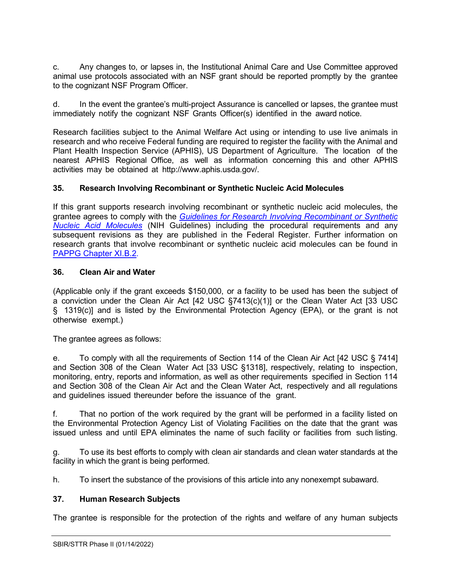c. Any changes to, or lapses in, the Institutional Animal Care and Use Committee approved animal use protocols associated with an NSF grant should be reported promptly by the grantee to the cognizant NSF Program Officer.

d. In the event the grantee's multi-project Assurance is cancelled or lapses, the grantee must immediately notify the cognizant NSF Grants Officer(s) identified in the award notice.

Research facilities subject to the Animal Welfare Act using or intending to use live animals in research and who receive Federal funding are required to register the facility with the Animal and Plant Health Inspection Service (APHIS), US Department of Agriculture. The location of the nearest APHIS Regional Office, as well as information concerning this and other APHIS activities may be obtained at [http://www.aphis.usda.gov/.](http://www.aphis.usda.gov/)

### <span id="page-29-0"></span>**35. Research Involving Recombinant or Synthetic Nucleic Acid Molecules**

If this grant supports research involving recombinant or synthetic nucleic acid molecules, the grantee agrees to comply with the *[Guidelines for Research Involving Recombinant or Synthetic](http://osp.od.nih.gov/office-biotechnology-activities/biosafety/nih-guidelines)  [Nucleic Acid Molecules](http://osp.od.nih.gov/office-biotechnology-activities/biosafety/nih-guidelines)* (NIH Guidelines) including the procedural requirements and any subsequent revisions as they are published in the Federal Register. Further information on research grants that involve recombinant or synthetic nucleic acid molecules can be found in [PAPPG Chapter XI.B.2.](https://www.nsf.gov/pubs/policydocs/pappg22_1/pappg_11.jsp#XIB2)

### <span id="page-29-1"></span>**36. Clean Air and Water**

(Applicable only if the grant exceeds \$150,000, or a facility to be used has been the subject of a conviction under the Clean Air Act [42 USC [§7413\(c\)\(1\)\]](http://frwebgate.access.gpo.gov/cgi-bin/getdoc.cgi?dbname=browse_usc&amp%3Bdocid=Cite%3A%2B42USC7413) or the Clean Water Act [33 [USC](http://frwebgate.access.gpo.gov/cgi-bin/getdoc.cgi?dbname=browse_usc&amp%3Bdocid=Cite%3A%2B33USC1319) [§](http://frwebgate.access.gpo.gov/cgi-bin/getdoc.cgi?dbname=browse_usc&amp%3Bdocid=Cite%3A%2B33USC1319) [1319\(c\)\]](http://frwebgate.access.gpo.gov/cgi-bin/getdoc.cgi?dbname=browse_usc&amp%3Bdocid=Cite%3A%2B33USC1319) and is listed by the Environmental Protection Agency (EPA), or the grant is not otherwise exempt.)

The grantee agrees as follows:

e. To comply with all the requirements of Section 114 of the Clean Air Act [42 [USC](http://frwebgate.access.gpo.gov/cgi-bin/getdoc.cgi?dbname=browse_usc&amp%3Bdocid=Cite%3A%2B42USC7414) § [7414\]](http://frwebgate.access.gpo.gov/cgi-bin/getdoc.cgi?dbname=browse_usc&amp%3Bdocid=Cite%3A%2B42USC7414) and Section 308 of the Clean Water Act [33 USC [§1318\],](http://frwebgate.access.gpo.gov/cgi-bin/getdoc.cgi?dbname=browse_usc&amp%3Bdocid=Cite%3A%2B33USC1318) respectively, relating to inspection, monitoring, entry, reports and information, as well as other requirements specified in Section 114 and Section 308 of the Clean Air Act and the Clean Water Act, respectively and all regulations and guidelines issued thereunder before the issuance of the grant.

f. That no portion of the work required by the grant will be performed in a facility listed on the Environmental Protection Agency List of Violating Facilities on the date that the grant was issued unless and until EPA eliminates the name of such facility or facilities from such listing.

g. To use its best efforts to comply with clean air standards and clean water standards at the facility in which the grant is being performed.

h. To insert the substance of the provisions of this article into any nonexempt subaward.

### <span id="page-29-2"></span>**37. Human Research Subjects**

The grantee is responsible for the protection of the rights and welfare of any human subjects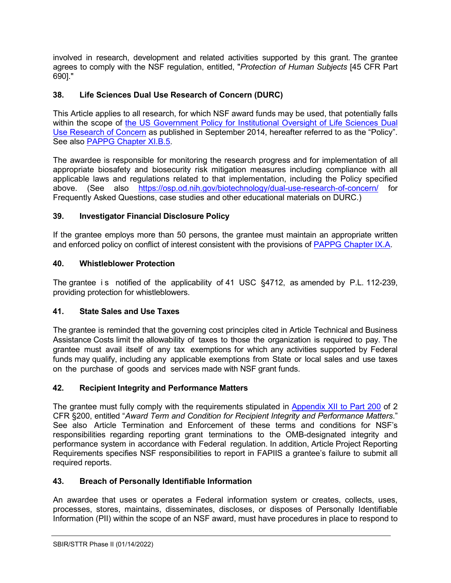involved in research, development and related activities supported by this grant. The grantee agrees to comply with the NSF regulation, entitled, "*Protection of Human Subjects* [45 [CFR](http://www.access.gpo.gov/nara/cfr/waisidx_06/45cfr690_06.html) Part [690\]."](http://www.access.gpo.gov/nara/cfr/waisidx_06/45cfr690_06.html)

# <span id="page-30-0"></span>**38. Life Sciences Dual Use Research of Concern (DURC)**

This Article applies to all research, for which NSF award funds may be used, that potentially falls within the scope of the US Government Policy for Institutional Oversight of Life Sciences Dual [Use Research of Concern](http://www.phe.gov/s3/dualuse/Pages/default.aspx) as published in September 2014, hereafter referred to as the "Policy". See also [PAPPG Chapter XI.B.5.](https://www.nsf.gov/pubs/policydocs/pappg22_1/pappg_11.jsp#XIB5)

The awardee is responsible for monitoring the research progress and for implementation of all appropriate biosafety and biosecurity risk mitigation measures including compliance with all applicable laws and regulations related to that implementation, including the Policy specified above. (See also <https://osp.od.nih.gov/biotechnology/dual-use-research-of-concern/> for Frequently Asked Questions, case studies and other educational materials on DURC.)

# <span id="page-30-1"></span>**39. Investigator Financial Disclosure Policy**

If the grantee employs more than 50 persons, the grantee must maintain an appropriate written and enforced policy on conflict of interest consistent with the provisions of [PAPPG Chapter IX.A.](https://www.nsf.gov/pubs/policydocs/pappg22_1/pappg_9.jsp#IXA)

## <span id="page-30-2"></span>**40. Whistleblower Protection**

The grantee is notified of the applicability of 41 USC §4712, as amended by P.L. 112-239, providing protection for whistleblowers.

## <span id="page-30-3"></span>**41. State Sales and Use Taxes**

The grantee is reminded that the governing cost principles cited in Article Technical and Business Assistance Costs limit the allowability of taxes to those the organization is required to pay. The grantee must avail itself of any tax exemptions for which any activities supported by Federal funds may qualify, including any applicable exemptions from State or local sales and use taxes on the purchase of goods and services made with NSF grant funds.

## <span id="page-30-4"></span>**42. Recipient Integrity and Performance Matters**

The grantee must fully comply with the requirements stipulated in [Appendix](https://www.ecfr.gov/cgi-bin/text-idx?SID=704835d27377ef5213a51c149de40cab&node=2:1.1.2.2.1&rgn=div5) XII to Part 200 of 2 CFR §200, entitled "*Award Term and Condition for Recipient Integrity and Performance Matters*." See also Article Termination and Enforcement of these terms and conditions for NSF's responsibilities regarding reporting grant terminations to the OMB-designated integrity and performance system in accordance with Federal regulation. In addition, Article Project Reporting Requirements specifies NSF responsibilities to report in FAPIIS a grantee's failure to submit all required reports.

## <span id="page-30-5"></span>**43. Breach of Personally Identifiable Information**

An awardee that uses or operates a Federal information system or creates, collects, uses, processes, stores, maintains, disseminates, discloses, or disposes of Personally Identifiable Information (PII) within the scope of an NSF award, must have procedures in place to respond to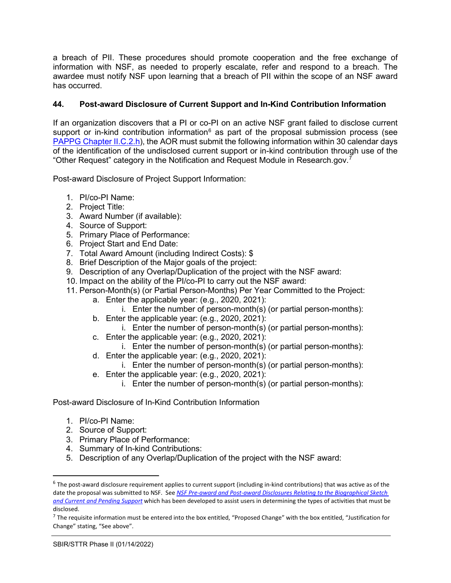a breach of PII. These procedures should promote cooperation and the free exchange of information with NSF, as needed to properly escalate, refer and respond to a breach. The awardee must notify NSF upon learning that a breach of PII within the scope of an NSF award has occurred.

## <span id="page-31-0"></span>**44. Post-award Disclosure of Current Support and In-Kind Contribution Information**

If an organization discovers that a PI or co-PI on an active NSF grant failed to disclose current support or in-kind contribution information $6$  as part of the proposal submission process (see [PAPPG Chapter II.C.2.h\)](https://www.nsf.gov/pubs/policydocs/pappg22_1/pappg_2.jsp#IIC2h), the AOR must submit the following information within 30 calendar days of the identification of the undisclosed current support or in-kind contribution through use of the "Other Request" category in the Notification and Request Module in Research.gov.[7](#page-31-2)

Post-award Disclosure of Project Support Information:

- 1. PI/co-PI Name:
- 2. Project Title:
- 3. Award Number (if available):
- 4. Source of Support:
- 5. Primary Place of Performance:
- 6. Project Start and End Date:
- 7. Total Award Amount (including Indirect Costs): \$
- 8. Brief Description of the Major goals of the project:
- 9. Description of any Overlap/Duplication of the project with the NSF award:
- 10. Impact on the ability of the PI/co-PI to carry out the NSF award:
- 11. Person-Month(s) (or Partial Person-Months) Per Year Committed to the Project:
	- a. Enter the applicable year: (e.g., 2020, 2021):
		- i. Enter the number of person-month(s) (or partial person-months):
	- b. Enter the applicable year: (e.g., 2020, 2021):
		- i. Enter the number of person-month(s) (or partial person-months):
	- c. Enter the applicable year: (e.g., 2020, 2021):
		- i. Enter the number of person-month(s) (or partial person-months):
	- d. Enter the applicable year: (e.g., 2020, 2021):
		- i. Enter the number of person-month(s) (or partial person-months):
	- e. Enter the applicable year: (e.g., 2020, 2021):
		- i. Enter the number of person-month(s) (or partial person-months):

Post-award Disclosure of In-Kind Contribution Information

- 1. PI/co-PI Name:
- 2. Source of Support:
- 3. Primary Place of Performance:
- 4. Summary of In-kind Contributions:
- 5. Description of any Overlap/Duplication of the project with the NSF award:

<span id="page-31-1"></span> $6$  The post-award disclosure requirement applies to current support (including in-kind contributions) that was active as of the date the proposal was submitted to NSF. See *[NSF Pre-award and Post-award Disclosures Relating to the Biographical Sketch](https://www.nsf.gov/bfa/dias/policy/disclosures_table.jsp)  [and Current and Pending Support](https://www.nsf.gov/bfa/dias/policy/disclosures_table.jsp)* which has been developed to assist users in determining the types of activities that must be disclosed.

<span id="page-31-2"></span> $7$  The requisite information must be entered into the box entitled, "Proposed Change" with the box entitled, "Justification for Change" stating, "See above".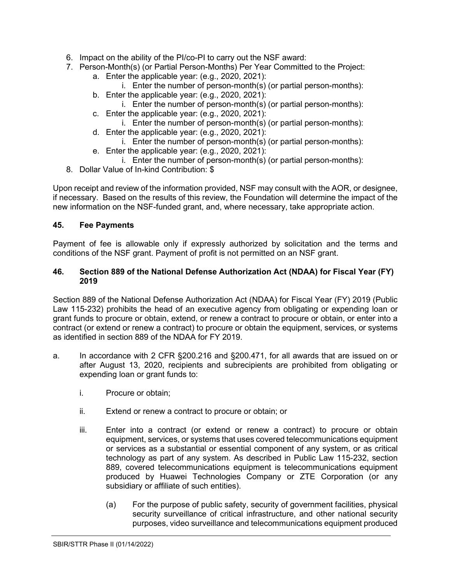- 6. Impact on the ability of the PI/co-PI to carry out the NSF award:
- 7. Person-Month(s) (or Partial Person-Months) Per Year Committed to the Project:
	- a. Enter the applicable year: (e.g., 2020, 2021):
		- i. Enter the number of person-month(s) (or partial person-months):
	- b. Enter the applicable year: (e.g., 2020, 2021):
		- i. Enter the number of person-month(s) (or partial person-months):
	- c. Enter the applicable year: (e.g., 2020, 2021):
		- i. Enter the number of person-month(s) (or partial person-months):
	- d. Enter the applicable year: (e.g., 2020, 2021):
	- i. Enter the number of person-month(s) (or partial person-months): e. Enter the applicable year: (e.g., 2020, 2021):
		- i. Enter the number of person-month(s) (or partial person-months):
- 8. Dollar Value of In-kind Contribution: \$

Upon receipt and review of the information provided, NSF may consult with the AOR, or designee, if necessary. Based on the results of this review, the Foundation will determine the impact of the new information on the NSF-funded grant, and, where necessary, take appropriate action.

### <span id="page-32-0"></span>**45. Fee Payments**

Payment of fee is allowable only if expressly authorized by solicitation and the terms and conditions of the NSF grant. Payment of profit is not permitted on an NSF grant.

### <span id="page-32-1"></span>**46. Section 889 of the National Defense Authorization Act (NDAA) for Fiscal Year (FY) 2019**

Section 889 of the National Defense Authorization Act (NDAA) for Fiscal Year (FY) 2019 (Public Law 115-232) prohibits the head of an executive agency from obligating or expending loan or grant funds to procure or obtain, extend, or renew a contract to procure or obtain, or enter into a contract (or extend or renew a contract) to procure or obtain the equipment, services, or systems as identified in section 889 of the NDAA for FY 2019.

- a. In accordance with 2 CFR §200.216 and §200.471, for all awards that are issued on or after August 13, 2020, recipients and subrecipients are prohibited from obligating or expending loan or grant funds to:
	- i. Procure or obtain;
	- ii. Extend or renew a contract to procure or obtain; or
	- iii. Enter into a contract (or extend or renew a contract) to procure or obtain equipment, services, or systems that uses covered telecommunications equipment or services as a substantial or essential component of any system, or as critical technology as part of any system. As described in Public Law 115-232, section 889, covered telecommunications equipment is telecommunications equipment produced by Huawei Technologies Company or ZTE Corporation (or any subsidiary or affiliate of such entities).
		- (a) For the purpose of public safety, security of government facilities, physical security surveillance of critical infrastructure, and other national security purposes, video surveillance and telecommunications equipment produced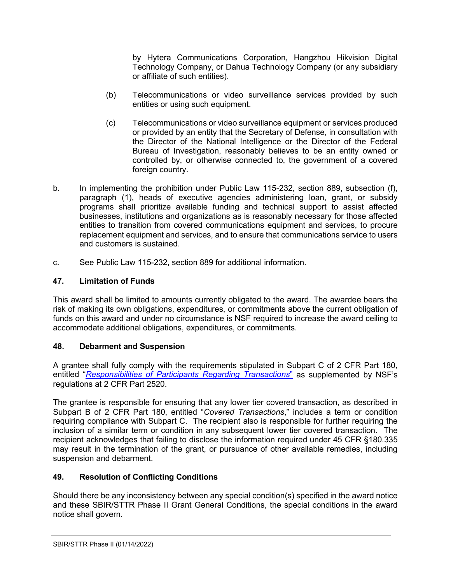by Hytera Communications Corporation, Hangzhou Hikvision Digital Technology Company, or Dahua Technology Company (or any subsidiary or affiliate of such entities).

- (b) Telecommunications or video surveillance services provided by such entities or using such equipment.
- (c) Telecommunications or video surveillance equipment or services produced or provided by an entity that the Secretary of Defense, in consultation with the Director of the National Intelligence or the Director of the Federal Bureau of Investigation, reasonably believes to be an entity owned or controlled by, or otherwise connected to, the government of a covered foreign country.
- b. In implementing the prohibition under Public Law 115-232, section 889, subsection (f), paragraph (1), heads of executive agencies administering loan, grant, or subsidy programs shall prioritize available funding and technical support to assist affected businesses, institutions and organizations as is reasonably necessary for those affected entities to transition from covered communications equipment and services, to procure replacement equipment and services, and to ensure that communications service to users and customers is sustained.
- c. See Public Law 115-232, section 889 for additional information.

## <span id="page-33-0"></span>**47. Limitation of Funds**

This award shall be limited to amounts currently obligated to the award. The awardee bears the risk of making its own obligations, expenditures, or commitments above the current obligation of funds on this award and under no circumstance is NSF required to increase the award ceiling to accommodate additional obligations, expenditures, or commitments.

## <span id="page-33-1"></span>**48. Debarment and Suspension**

A grantee shall fully comply with the requirements stipulated in [Subpart C of 2 CFR Part 180,](http://www.whitehouse.gov/omb/fedreg/2005/083105_debarment.pdf) entitled "*[Responsibilities of Participants Regarding Transactions](https://www.govinfo.gov/content/pkg/CFR-2011-title2-vol1/pdf/CFR-2011-title2-vol1-part2520.pdf)*" as supplemented by NSF's regulations at 2 CFR Part 2520.

The grantee is responsible for ensuring that any lower tier covered transaction, as described in [Subpart B of 2 CFR Part 180,](http://www.whitehouse.gov/omb/fedreg/2005/083105_debarment.pdf) entitled "*Covered Transactions*," includes a term or condition requiring compliance with Subpart C. The recipient also is responsible for further requiring the inclusion of a similar term or condition in any subsequent lower tier covered transaction. The recipient acknowledges that failing to disclose the information required under [45 CFR §180.335](http://www.nsf.gov/oig/2_CFR_PART180.pdf) may result in the termination of the grant, or pursuance of other available remedies, including suspension and debarment.

## <span id="page-33-2"></span>**49. Resolution of Conflicting Conditions**

Should there be any inconsistency between any special condition(s) specified in the award notice and these SBIR/STTR Phase II Grant General Conditions, the special conditions in the award notice shall govern.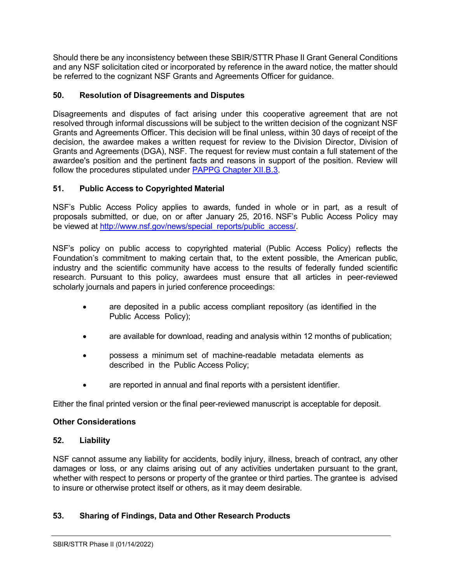Should there be any inconsistency between these SBIR/STTR Phase II Grant General Conditions and any NSF solicitation cited or incorporated by reference in the award notice, the matter should be referred to the cognizant NSF Grants and Agreements Officer for guidance.

## <span id="page-34-0"></span>**50. Resolution of Disagreements and Disputes**

Disagreements and disputes of fact arising under this cooperative agreement that are not resolved through informal discussions will be subject to the written decision of the cognizant NSF Grants and Agreements Officer. This decision will be final unless, within 30 days of receipt of the decision, the awardee makes a written request for review to the Division Director, Division of Grants and Agreements (DGA), NSF. The request for review must contain a full statement of the awardee's position and the pertinent facts and reasons in support of the position. Review will follow the procedures stipulated under [PAPPG Chapter XII.B.3.](https://www.nsf.gov/pubs/policydocs/pappg20_1/pappg_12.jsp#XIIB)

## <span id="page-34-1"></span>**51. Public Access to Copyrighted Material**

NSF's Public Access Policy applies to awards, funded in whole or in part, as a result of proposals submitted, or due, on or after January 25, 2016. NSF's Public Access Policy may be viewed at [http://www.nsf.gov/news/special\\_reports/public\\_access/.](http://www.nsf.gov/news/special_reports/public_access/)

NSF's policy on public access to copyrighted material (Public Access Policy) reflects the Foundation's commitment to making certain that, to the extent possible, the American public, industry and the scientific community have access to the results of federally funded scientific research. Pursuant to this policy, awardees must ensure that all articles in peer-reviewed scholarly journals and papers in juried conference proceedings:

- are deposited in a public access compliant repository (as identified in the Public Access Policy);
- are available for download, reading and analysis within 12 months of publication;
- possess a minimum set of machine-readable metadata elements as described in the Public Access Policy;
- are reported in annual and final reports with a persistent identifier.

Either the final printed version or the final peer-reviewed manuscript is acceptable for deposit.

### **Other Considerations**

### <span id="page-34-2"></span>**52. Liability**

NSF cannot assume any liability for accidents, bodily injury, illness, breach of contract, any other damages or loss, or any claims arising out of any activities undertaken pursuant to the grant, whether with respect to persons or property of the grantee or third parties. The grantee is advised to insure or otherwise protect itself or others, as it may deem desirable.

## <span id="page-34-3"></span>**53. Sharing of Findings, Data and Other Research Products**